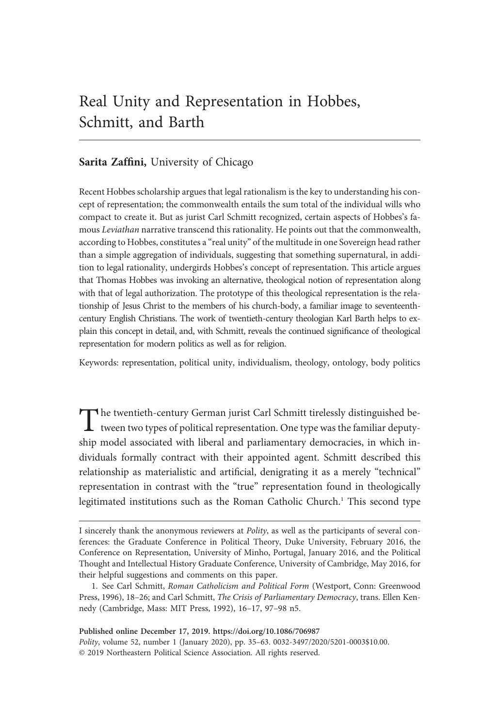## Sarita Zaffini, University of Chicago

Recent Hobbes scholarship argues that legal rationalism is the key to understanding his concept of representation; the commonwealth entails the sum total of the individual wills who compact to create it. But as jurist Carl Schmitt recognized, certain aspects of Hobbes's famous Leviathan narrative transcend this rationality. He points out that the commonwealth, according to Hobbes, constitutes a "real unity" of the multitude in one Sovereign head rather than a simple aggregation of individuals, suggesting that something supernatural, in addition to legal rationality, undergirds Hobbes's concept of representation. This article argues that Thomas Hobbes was invoking an alternative, theological notion of representation along with that of legal authorization. The prototype of this theological representation is the relationship of Jesus Christ to the members of his church-body, a familiar image to seventeenthcentury English Christians. The work of twentieth-century theologian Karl Barth helps to explain this concept in detail, and, with Schmitt, reveals the continued significance of theological representation for modern politics as well as for religion.

Keywords: representation, political unity, individualism, theology, ontology, body politics

The twentieth-century German jurist Carl Schmitt tirelessly distinguished be- $\perp$  tween two types of political representation. One type was the familiar deputyship model associated with liberal and parliamentary democracies, in which individuals formally contract with their appointed agent. Schmitt described this relationship as materialistic and artificial, denigrating it as a merely "technical" representation in contrast with the "true" representation found in theologically legitimated institutions such as the Roman Catholic Church.<sup>1</sup> This second type

I sincerely thank the anonymous reviewers at Polity, as well as the participants of several conferences: the Graduate Conference in Political Theory, Duke University, February 2016, the Conference on Representation, University of Minho, Portugal, January 2016, and the Political Thought and Intellectual History Graduate Conference, University of Cambridge, May 2016, for their helpful suggestions and comments on this paper.

<sup>1.</sup> See Carl Schmitt, Roman Catholicism and Political Form (Westport, Conn: Greenwood Press, 1996), 18–26; and Carl Schmitt, The Crisis of Parliamentary Democracy, trans. Ellen Kennedy (Cambridge, Mass: MIT Press, 1992), 16–17, 97–98 n5.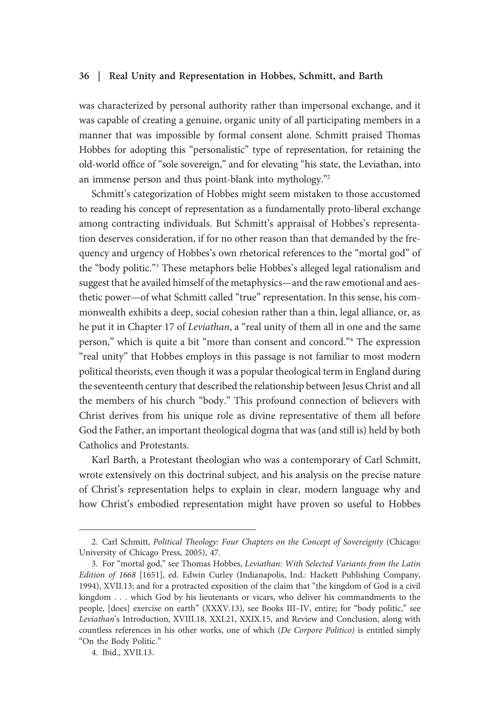was characterized by personal authority rather than impersonal exchange, and it was capable of creating a genuine, organic unity of all participating members in a manner that was impossible by formal consent alone. Schmitt praised Thomas Hobbes for adopting this "personalistic" type of representation, for retaining the old-world office of "sole sovereign," and for elevating "his state, the Leviathan, into an immense person and thus point-blank into mythology."<sup>2</sup>

Schmitt's categorization of Hobbes might seem mistaken to those accustomed to reading his concept of representation as a fundamentally proto-liberal exchange among contracting individuals. But Schmitt's appraisal of Hobbes's representation deserves consideration, if for no other reason than that demanded by the frequency and urgency of Hobbes's own rhetorical references to the "mortal god" of the "body politic."<sup>3</sup> These metaphors belie Hobbes's alleged legal rationalism and suggest that he availed himself of the metaphysics—and the raw emotional and aesthetic power—of what Schmitt called "true" representation. In this sense, his commonwealth exhibits a deep, social cohesion rather than a thin, legal alliance, or, as he put it in Chapter 17 of Leviathan, a "real unity of them all in one and the same person," which is quite a bit "more than consent and concord."<sup>4</sup> The expression "real unity" that Hobbes employs in this passage is not familiar to most modern political theorists, even though it was a popular theological term in England during the seventeenth century that described the relationship between Jesus Christ and all the members of his church "body." This profound connection of believers with Christ derives from his unique role as divine representative of them all before God the Father, an important theological dogma that was (and still is) held by both Catholics and Protestants.

Karl Barth, a Protestant theologian who was a contemporary of Carl Schmitt, wrote extensively on this doctrinal subject, and his analysis on the precise nature of Christ's representation helps to explain in clear, modern language why and how Christ's embodied representation might have proven so useful to Hobbes

4. Ibid., XVII.13.

<sup>2.</sup> Carl Schmitt, Political Theology: Four Chapters on the Concept of Sovereignty (Chicago: University of Chicago Press, 2005), 47.

<sup>3.</sup> For "mortal god," see Thomas Hobbes, Leviathan: With Selected Variants from the Latin Edition of 1668 [1651], ed. Edwin Curley (Indianapolis, Ind.: Hackett Publishing Company, 1994), XVII.13; and for a protracted exposition of the claim that "the kingdom of God is a civil kingdom ... which God by his lieutenants or vicars, who deliver his commandments to the people, [does] exercise on earth" (XXXV.13), see Books III–IV, entire; for "body politic," see Leviathan's Introduction, XVIII.18, XXI.21, XXIX.15, and Review and Conclusion, along with countless references in his other works, one of which (De Corpore Politico) is entitled simply "On the Body Politic."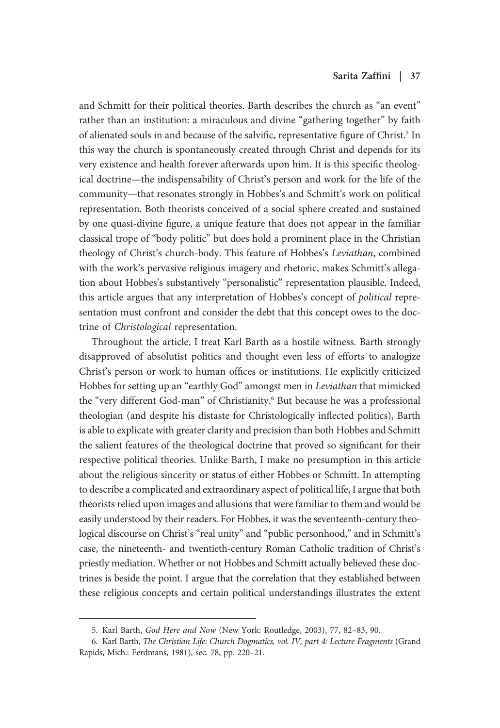and Schmitt for their political theories. Barth describes the church as "an event" rather than an institution: a miraculous and divine "gathering together" by faith of alienated souls in and because of the salvific, representative figure of Christ.<sup>5</sup> In this way the church is spontaneously created through Christ and depends for its very existence and health forever afterwards upon him. It is this specific theological doctrine—the indispensability of Christ's person and work for the life of the community—that resonates strongly in Hobbes's and Schmitt's work on political representation. Both theorists conceived of a social sphere created and sustained by one quasi-divine figure, a unique feature that does not appear in the familiar classical trope of "body politic" but does hold a prominent place in the Christian theology of Christ's church-body. This feature of Hobbes's Leviathan, combined with the work's pervasive religious imagery and rhetoric, makes Schmitt's allegation about Hobbes's substantively "personalistic" representation plausible. Indeed, this article argues that any interpretation of Hobbes's concept of political representation must confront and consider the debt that this concept owes to the doctrine of Christological representation.

Throughout the article, I treat Karl Barth as a hostile witness. Barth strongly disapproved of absolutist politics and thought even less of efforts to analogize Christ's person or work to human offices or institutions. He explicitly criticized Hobbes for setting up an "earthly God" amongst men in Leviathan that mimicked the "very different God-man" of Christianity.<sup>6</sup> But because he was a professional theologian (and despite his distaste for Christologically inflected politics), Barth is able to explicate with greater clarity and precision than both Hobbes and Schmitt the salient features of the theological doctrine that proved so significant for their respective political theories. Unlike Barth, I make no presumption in this article about the religious sincerity or status of either Hobbes or Schmitt. In attempting to describe a complicated and extraordinary aspect of political life, I argue that both theorists relied upon images and allusions that were familiar to them and would be easily understood by their readers. For Hobbes, it was the seventeenth-century theological discourse on Christ's "real unity" and "public personhood," and in Schmitt's case, the nineteenth- and twentieth-century Roman Catholic tradition of Christ's priestly mediation. Whether or not Hobbes and Schmitt actually believed these doctrines is beside the point. I argue that the correlation that they established between these religious concepts and certain political understandings illustrates the extent

<sup>5.</sup> Karl Barth, God Here and Now (New York: Routledge, 2003), 77, 82–83, 90.

<sup>6.</sup> Karl Barth, The Christian Life: Church Dogmatics, vol. IV, part 4: Lecture Fragments (Grand Rapids, Mich.: Eerdmans, 1981), sec. 78, pp. 220–21.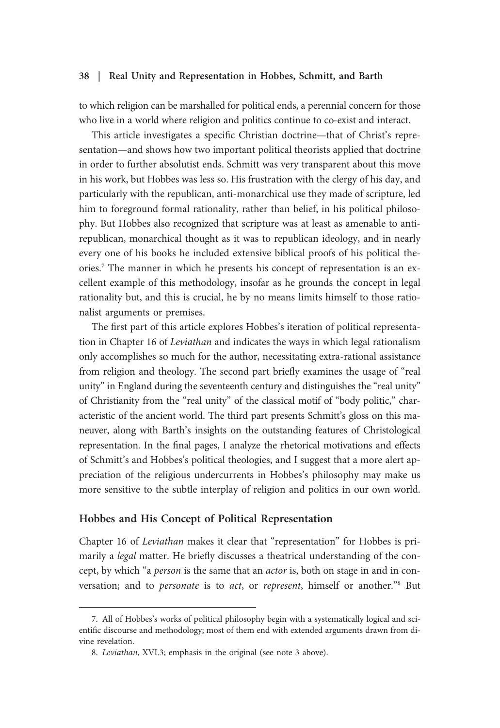to which religion can be marshalled for political ends, a perennial concern for those who live in a world where religion and politics continue to co-exist and interact.

This article investigates a specific Christian doctrine—that of Christ's representation—and shows how two important political theorists applied that doctrine in order to further absolutist ends. Schmitt was very transparent about this move in his work, but Hobbes was less so. His frustration with the clergy of his day, and particularly with the republican, anti-monarchical use they made of scripture, led him to foreground formal rationality, rather than belief, in his political philosophy. But Hobbes also recognized that scripture was at least as amenable to antirepublican, monarchical thought as it was to republican ideology, and in nearly every one of his books he included extensive biblical proofs of his political theories.7 The manner in which he presents his concept of representation is an excellent example of this methodology, insofar as he grounds the concept in legal rationality but, and this is crucial, he by no means limits himself to those rationalist arguments or premises.

The first part of this article explores Hobbes's iteration of political representation in Chapter 16 of Leviathan and indicates the ways in which legal rationalism only accomplishes so much for the author, necessitating extra-rational assistance from religion and theology. The second part briefly examines the usage of "real unity" in England during the seventeenth century and distinguishes the "real unity" of Christianity from the "real unity" of the classical motif of "body politic," characteristic of the ancient world. The third part presents Schmitt's gloss on this maneuver, along with Barth's insights on the outstanding features of Christological representation. In the final pages, I analyze the rhetorical motivations and effects of Schmitt's and Hobbes's political theologies, and I suggest that a more alert appreciation of the religious undercurrents in Hobbes's philosophy may make us more sensitive to the subtle interplay of religion and politics in our own world.

#### Hobbes and His Concept of Political Representation

Chapter 16 of Leviathan makes it clear that "representation" for Hobbes is primarily a legal matter. He briefly discusses a theatrical understanding of the concept, by which "a person is the same that an actor is, both on stage in and in conversation; and to *personate* is to *act*, or *represent*, himself or another."<sup>8</sup> But

<sup>7.</sup> All of Hobbes's works of political philosophy begin with a systematically logical and scientific discourse and methodology; most of them end with extended arguments drawn from divine revelation.

<sup>8.</sup> Leviathan, XVI.3; emphasis in the original (see note 3 above).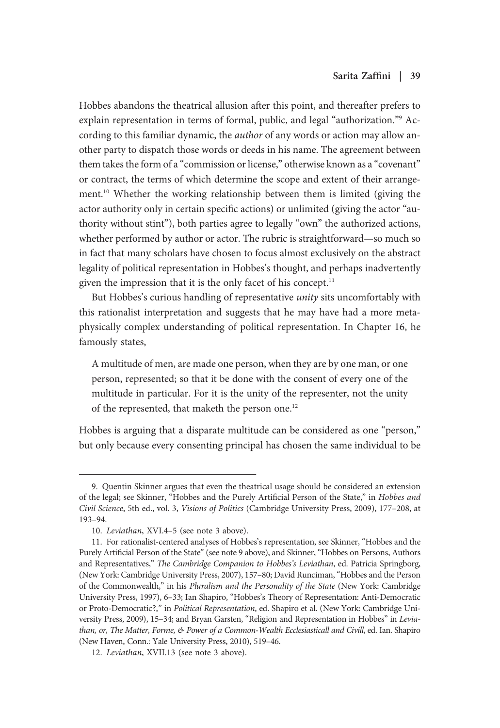Hobbes abandons the theatrical allusion after this point, and thereafter prefers to explain representation in terms of formal, public, and legal "authorization."<sup>9</sup> According to this familiar dynamic, the author of any words or action may allow another party to dispatch those words or deeds in his name. The agreement between them takes the form of a "commission or license," otherwise known as a "covenant" or contract, the terms of which determine the scope and extent of their arrangement.<sup>10</sup> Whether the working relationship between them is limited (giving the actor authority only in certain specific actions) or unlimited (giving the actor "authority without stint"), both parties agree to legally "own" the authorized actions, whether performed by author or actor. The rubric is straightforward—so much so in fact that many scholars have chosen to focus almost exclusively on the abstract legality of political representation in Hobbes's thought, and perhaps inadvertently given the impression that it is the only facet of his concept.<sup>11</sup>

But Hobbes's curious handling of representative *unity* sits uncomfortably with this rationalist interpretation and suggests that he may have had a more metaphysically complex understanding of political representation. In Chapter 16, he famously states,

A multitude of men, are made one person, when they are by one man, or one person, represented; so that it be done with the consent of every one of the multitude in particular. For it is the unity of the representer, not the unity of the represented, that maketh the person one.<sup>12</sup>

Hobbes is arguing that a disparate multitude can be considered as one "person," but only because every consenting principal has chosen the same individual to be

<sup>9.</sup> Quentin Skinner argues that even the theatrical usage should be considered an extension of the legal; see Skinner, "Hobbes and the Purely Artificial Person of the State," in Hobbes and Civil Science, 5th ed., vol. 3, Visions of Politics (Cambridge University Press, 2009), 177–208, at 193–94.

<sup>10.</sup> Leviathan, XVI.4–5 (see note 3 above).

<sup>11.</sup> For rationalist-centered analyses of Hobbes's representation, see Skinner, "Hobbes and the Purely Artificial Person of the State" (see note 9 above), and Skinner, "Hobbes on Persons, Authors and Representatives," The Cambridge Companion to Hobbes's Leviathan, ed. Patricia Springborg, (New York: Cambridge University Press, 2007), 157–80; David Runciman,"Hobbes and the Person of the Commonwealth," in his Pluralism and the Personality of the State (New York: Cambridge University Press, 1997), 6–33; Ian Shapiro, "Hobbes's Theory of Representation: Anti-Democratic or Proto-Democratic?," in Political Representation, ed. Shapiro et al. (New York: Cambridge University Press, 2009), 15–34; and Bryan Garsten, "Religion and Representation in Hobbes" in Leviathan, or, The Matter, Forme, & Power of a Common-Wealth Ecclesiasticall and Civill, ed. Ian. Shapiro (New Haven, Conn.: Yale University Press, 2010), 519–46.

<sup>12.</sup> Leviathan, XVII.13 (see note 3 above).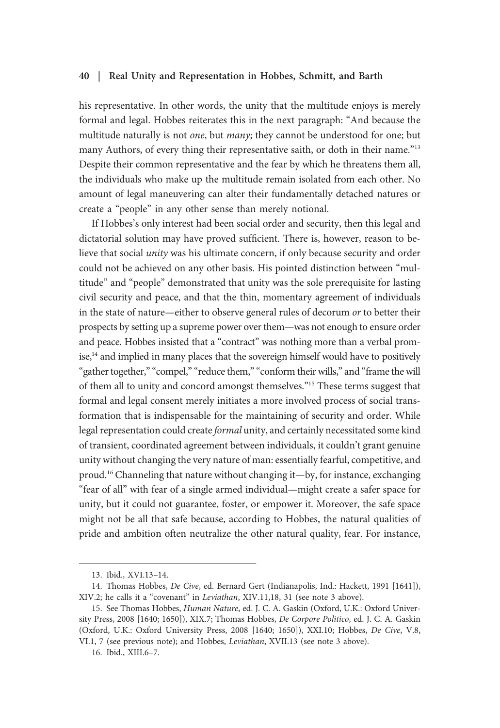his representative. In other words, the unity that the multitude enjoys is merely formal and legal. Hobbes reiterates this in the next paragraph: "And because the multitude naturally is not one, but many; they cannot be understood for one; but many Authors, of every thing their representative saith, or doth in their name."<sup>13</sup> Despite their common representative and the fear by which he threatens them all, the individuals who make up the multitude remain isolated from each other. No amount of legal maneuvering can alter their fundamentally detached natures or create a "people" in any other sense than merely notional.

If Hobbes's only interest had been social order and security, then this legal and dictatorial solution may have proved sufficient. There is, however, reason to believe that social unity was his ultimate concern, if only because security and order could not be achieved on any other basis. His pointed distinction between "multitude" and "people" demonstrated that unity was the sole prerequisite for lasting civil security and peace, and that the thin, momentary agreement of individuals in the state of nature—either to observe general rules of decorum or to better their prospects by setting up a supreme power over them—was not enough to ensure order and peace. Hobbes insisted that a "contract" was nothing more than a verbal promise,<sup>14</sup> and implied in many places that the sovereign himself would have to positively "gather together," "compel," "reduce them," "conform their wills," and "frame the will of them all to unity and concord amongst themselves."<sup>15</sup> These terms suggest that formal and legal consent merely initiates a more involved process of social transformation that is indispensable for the maintaining of security and order. While legal representation could create formal unity, and certainly necessitated some kind of transient, coordinated agreement between individuals, it couldn't grant genuine unity without changing the very nature of man: essentially fearful, competitive, and proud.16 Channeling that nature without changing it—by, for instance, exchanging "fear of all" with fear of a single armed individual—might create a safer space for unity, but it could not guarantee, foster, or empower it. Moreover, the safe space might not be all that safe because, according to Hobbes, the natural qualities of pride and ambition often neutralize the other natural quality, fear. For instance,

<sup>13.</sup> Ibid., XVI.13–14.

<sup>14.</sup> Thomas Hobbes, De Cive, ed. Bernard Gert (Indianapolis, Ind.: Hackett, 1991 [1641]), XIV.2; he calls it a "covenant" in Leviathan, XIV.11,18, 31 (see note 3 above).

<sup>15.</sup> See Thomas Hobbes, Human Nature, ed. J. C. A. Gaskin (Oxford, U.K.: Oxford University Press, 2008 [1640; 1650]), XIX.7; Thomas Hobbes, De Corpore Politico, ed. J. C. A. Gaskin (Oxford, U.K.: Oxford University Press, 2008 [1640; 1650]), XXI.10; Hobbes, De Cive, V.8, VI.1, 7 (see previous note); and Hobbes, Leviathan, XVII.13 (see note 3 above).

<sup>16.</sup> Ibid., XIII.6–7.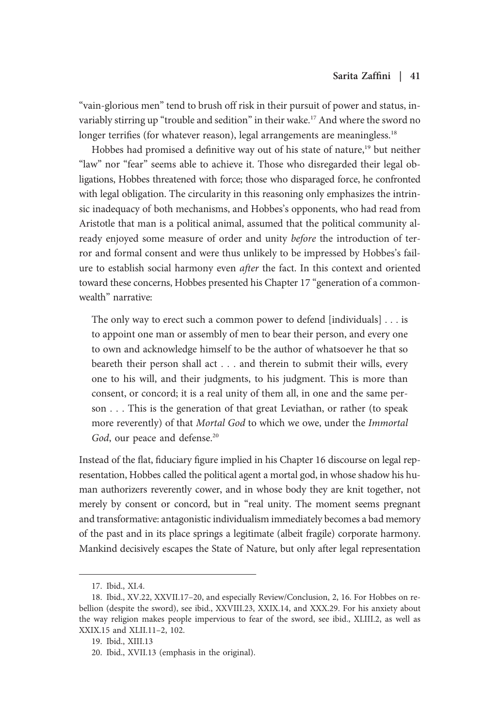"vain-glorious men" tend to brush off risk in their pursuit of power and status, invariably stirring up "trouble and sedition" in their wake.17 And where the sword no longer terrifies (for whatever reason), legal arrangements are meaningless.<sup>18</sup>

Hobbes had promised a definitive way out of his state of nature,<sup>19</sup> but neither "law" nor "fear" seems able to achieve it. Those who disregarded their legal obligations, Hobbes threatened with force; those who disparaged force, he confronted with legal obligation. The circularity in this reasoning only emphasizes the intrinsic inadequacy of both mechanisms, and Hobbes's opponents, who had read from Aristotle that man is a political animal, assumed that the political community already enjoyed some measure of order and unity before the introduction of terror and formal consent and were thus unlikely to be impressed by Hobbes's failure to establish social harmony even after the fact. In this context and oriented toward these concerns, Hobbes presented his Chapter 17 "generation of a commonwealth" narrative:

The only way to erect such a common power to defend [individuals] ... is to appoint one man or assembly of men to bear their person, and every one to own and acknowledge himself to be the author of whatsoever he that so beareth their person shall act ... and therein to submit their wills, every one to his will, and their judgments, to his judgment. This is more than consent, or concord; it is a real unity of them all, in one and the same person ... This is the generation of that great Leviathan, or rather (to speak more reverently) of that Mortal God to which we owe, under the Immortal God, our peace and defense.<sup>20</sup>

Instead of the flat, fiduciary figure implied in his Chapter 16 discourse on legal representation, Hobbes called the political agent a mortal god, in whose shadow his human authorizers reverently cower, and in whose body they are knit together, not merely by consent or concord, but in "real unity. The moment seems pregnant and transformative: antagonistic individualism immediately becomes a bad memory of the past and in its place springs a legitimate (albeit fragile) corporate harmony. Mankind decisively escapes the State of Nature, but only after legal representation

<sup>17.</sup> Ibid., XI.4.

<sup>18.</sup> Ibid., XV.22, XXVII.17–20, and especially Review/Conclusion, 2, 16. For Hobbes on rebellion (despite the sword), see ibid., XXVIII.23, XXIX.14, and XXX.29. For his anxiety about the way religion makes people impervious to fear of the sword, see ibid., XLIII.2, as well as XXIX.15 and XLII.11–2, 102.

<sup>19.</sup> Ibid., XIII.13

<sup>20.</sup> Ibid., XVII.13 (emphasis in the original).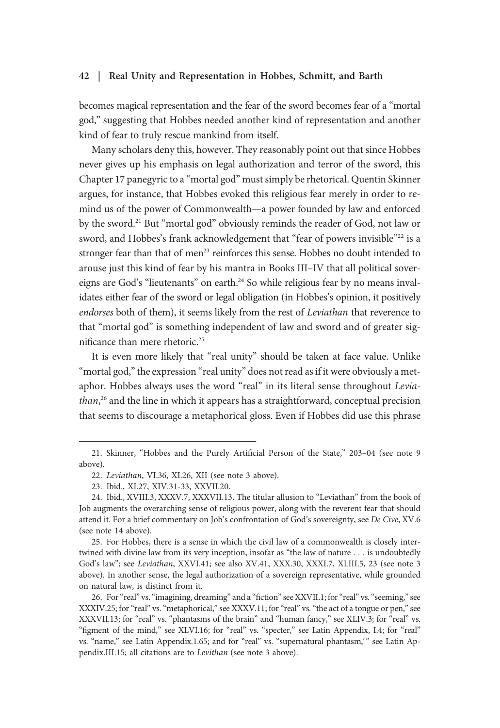becomes magical representation and the fear of the sword becomes fear of a "mortal god," suggesting that Hobbes needed another kind of representation and another kind of fear to truly rescue mankind from itself.

Many scholars deny this, however. They reasonably point out that since Hobbes never gives up his emphasis on legal authorization and terror of the sword, this Chapter 17 panegyric to a "mortal god" must simply be rhetorical. Quentin Skinner argues, for instance, that Hobbes evoked this religious fear merely in order to remind us of the power of Commonwealth—a power founded by law and enforced by the sword.21 But "mortal god" obviously reminds the reader of God, not law or sword, and Hobbes's frank acknowledgement that "fear of powers invisible"<sup>22</sup> is a stronger fear than that of men<sup>23</sup> reinforces this sense. Hobbes no doubt intended to arouse just this kind of fear by his mantra in Books III–IV that all political sovereigns are God's "lieutenants" on earth.<sup>24</sup> So while religious fear by no means invalidates either fear of the sword or legal obligation (in Hobbes's opinion, it positively endorses both of them), it seems likely from the rest of Leviathan that reverence to that "mortal god" is something independent of law and sword and of greater significance than mere rhetoric.25

It is even more likely that "real unity" should be taken at face value. Unlike "mortal god," the expression "real unity" does not read as if it were obviously a metaphor. Hobbes always uses the word "real" in its literal sense throughout Leviathan,<sup>26</sup> and the line in which it appears has a straightforward, conceptual precision that seems to discourage a metaphorical gloss. Even if Hobbes did use this phrase

<sup>21.</sup> Skinner, "Hobbes and the Purely Artificial Person of the State," 203–04 (see note 9 above).

<sup>22.</sup> Leviathan, VI.36, XI.26, XII (see note 3 above).

<sup>23.</sup> Ibid., XI.27, XIV.31-33, XXVII.20.

<sup>24.</sup> Ibid., XVIII.3, XXXV.7, XXXVII.13. The titular allusion to "Leviathan" from the book of Job augments the overarching sense of religious power, along with the reverent fear that should attend it. For a brief commentary on Job's confrontation of God's sovereignty, see De Cive, XV.6 (see note 14 above).

<sup>25.</sup> For Hobbes, there is a sense in which the civil law of a commonwealth is closely intertwined with divine law from its very inception, insofar as "the law of nature ... is undoubtedly God's law"; see Leviathan, XXVI.41; see also XV.41, XXX.30, XXXI.7, XLIII.5, 23 (see note 3 above). In another sense, the legal authorization of a sovereign representative, while grounded on natural law, is distinct from it.

<sup>26.</sup> For "real" vs. "imagining, dreaming" and a "fiction" see XXVII.1; for "real" vs. "seeming," see XXXIV.25; for "real" vs. "metaphorical," see XXXV.11; for "real" vs. "the act of a tongue or pen," see XXXVII.13; for "real" vs. "phantasms of the brain" and "human fancy," see XLIV.3; for "real" vs. "figment of the mind," see XLVI.16; for "real" vs. "specter," see Latin Appendix, I.4; for "real" vs. "name," see Latin Appendix.1.65; and for "real" vs. "supernatural phantasm," see Latin Appendix.III.15; all citations are to Levithan (see note 3 above).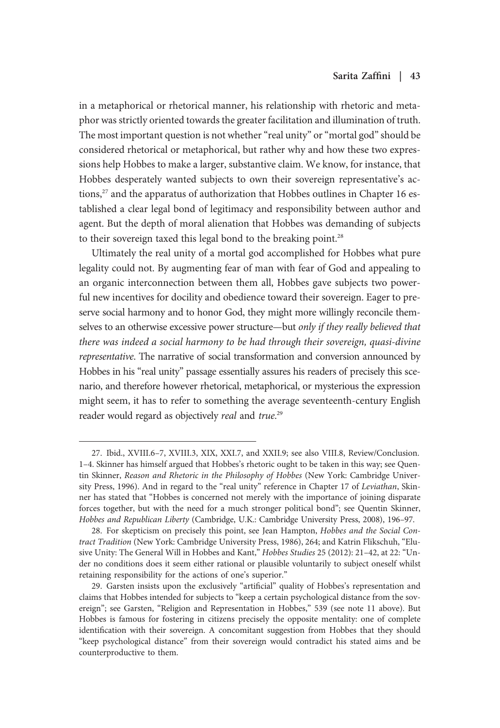in a metaphorical or rhetorical manner, his relationship with rhetoric and metaphor was strictly oriented towards the greater facilitation and illumination of truth. The most important question is not whether "real unity" or "mortal god" should be considered rhetorical or metaphorical, but rather why and how these two expressions help Hobbes to make a larger, substantive claim. We know, for instance, that Hobbes desperately wanted subjects to own their sovereign representative's actions,<sup>27</sup> and the apparatus of authorization that Hobbes outlines in Chapter 16 established a clear legal bond of legitimacy and responsibility between author and agent. But the depth of moral alienation that Hobbes was demanding of subjects to their sovereign taxed this legal bond to the breaking point.<sup>28</sup>

Ultimately the real unity of a mortal god accomplished for Hobbes what pure legality could not. By augmenting fear of man with fear of God and appealing to an organic interconnection between them all, Hobbes gave subjects two powerful new incentives for docility and obedience toward their sovereign. Eager to preserve social harmony and to honor God, they might more willingly reconcile themselves to an otherwise excessive power structure—but only if they really believed that there was indeed a social harmony to be had through their sovereign, quasi-divine representative. The narrative of social transformation and conversion announced by Hobbes in his "real unity" passage essentially assures his readers of precisely this scenario, and therefore however rhetorical, metaphorical, or mysterious the expression might seem, it has to refer to something the average seventeenth-century English reader would regard as objectively real and true.<sup>29</sup>

<sup>27.</sup> Ibid., XVIII.6–7, XVIII.3, XIX, XXI.7, and XXII.9; see also VIII.8, Review/Conclusion. 1–4. Skinner has himself argued that Hobbes's rhetoric ought to be taken in this way; see Quentin Skinner, Reason and Rhetoric in the Philosophy of Hobbes (New York: Cambridge University Press, 1996). And in regard to the "real unity" reference in Chapter 17 of Leviathan, Skinner has stated that "Hobbes is concerned not merely with the importance of joining disparate forces together, but with the need for a much stronger political bond"; see Quentin Skinner, Hobbes and Republican Liberty (Cambridge, U.K.: Cambridge University Press, 2008), 196–97.

<sup>28.</sup> For skepticism on precisely this point, see Jean Hampton, Hobbes and the Social Contract Tradition (New York: Cambridge University Press, 1986), 264; and Katrin Flikschuh, "Elusive Unity: The General Will in Hobbes and Kant," Hobbes Studies 25 (2012): 21–42, at 22: "Under no conditions does it seem either rational or plausible voluntarily to subject oneself whilst retaining responsibility for the actions of one's superior."

<sup>29.</sup> Garsten insists upon the exclusively "artificial" quality of Hobbes's representation and claims that Hobbes intended for subjects to "keep a certain psychological distance from the sovereign"; see Garsten, "Religion and Representation in Hobbes," 539 (see note 11 above). But Hobbes is famous for fostering in citizens precisely the opposite mentality: one of complete identification with their sovereign. A concomitant suggestion from Hobbes that they should "keep psychological distance" from their sovereign would contradict his stated aims and be counterproductive to them.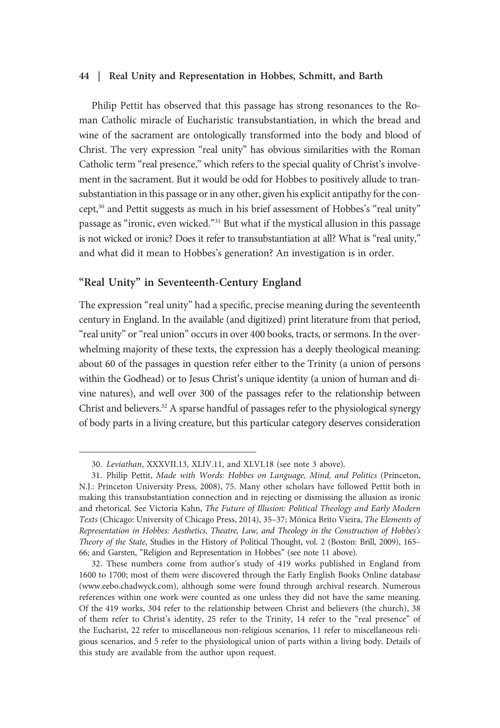Philip Pettit has observed that this passage has strong resonances to the Roman Catholic miracle of Eucharistic transubstantiation, in which the bread and wine of the sacrament are ontologically transformed into the body and blood of Christ. The very expression "real unity" has obvious similarities with the Roman Catholic term "real presence," which refers to the special quality of Christ's involvement in the sacrament. But it would be odd for Hobbes to positively allude to transubstantiation in this passage or in any other, given his explicit antipathy for the concept,<sup>30</sup> and Pettit suggests as much in his brief assessment of Hobbes's "real unity" passage as "ironic, even wicked."<sup>31</sup> But what if the mystical allusion in this passage is not wicked or ironic? Does it refer to transubstantiation at all? What is "real unity," and what did it mean to Hobbes's generation? An investigation is in order.

## "Real Unity" in Seventeenth-Century England

The expression "real unity" had a specific, precise meaning during the seventeenth century in England. In the available (and digitized) print literature from that period, "real unity" or "real union" occurs in over 400 books, tracts, or sermons. In the overwhelming majority of these texts, the expression has a deeply theological meaning: about 60 of the passages in question refer either to the Trinity (a union of persons within the Godhead) or to Jesus Christ's unique identity (a union of human and divine natures), and well over 300 of the passages refer to the relationship between Christ and believers.32 A sparse handful of passages refer to the physiological synergy of body parts in a living creature, but this particular category deserves consideration

<sup>30.</sup> Leviathan, XXXVII.13, XLIV.11, and XLVI.18 (see note 3 above).

<sup>31.</sup> Philip Pettit, Made with Words: Hobbes on Language, Mind, and Politics (Princeton, N.J.: Princeton University Press, 2008), 75. Many other scholars have followed Pettit both in making this transubstantiation connection and in rejecting or dismissing the allusion as ironic and rhetorical. See Victoria Kahn, The Future of Illusion: Political Theology and Early Modern Texts (Chicago: University of Chicago Press, 2014), 35–37; Mónica Brito Vieira, The Elements of Representation in Hobbes: Aesthetics, Theatre, Law, and Theology in the Construction of Hobbes's Theory of the State, Studies in the History of Political Thought, vol. 2 (Boston: Brill, 2009), 165– 66; and Garsten, "Religion and Representation in Hobbes" (see note 11 above).

<sup>32.</sup> These numbers come from author's study of 419 works published in England from 1600 to 1700; most of them were discovered through the Early English Books Online database (www.eebo.chadwyck.com), although some were found through archival research. Numerous references within one work were counted as one unless they did not have the same meaning. Of the 419 works, 304 refer to the relationship between Christ and believers (the church), 38 of them refer to Christ's identity, 25 refer to the Trinity, 14 refer to the "real presence" of the Eucharist, 22 refer to miscellaneous non-religious scenarios, 11 refer to miscellaneous religious scenarios, and 5 refer to the physiological union of parts within a living body. Details of this study are available from the author upon request.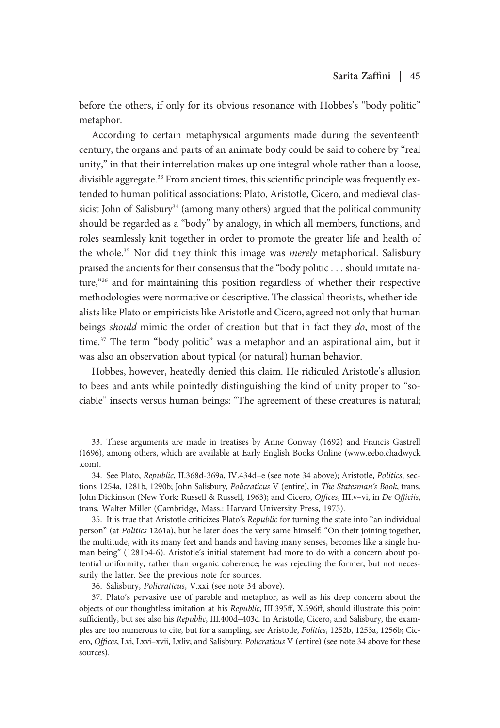before the others, if only for its obvious resonance with Hobbes's "body politic" metaphor.

According to certain metaphysical arguments made during the seventeenth century, the organs and parts of an animate body could be said to cohere by "real unity," in that their interrelation makes up one integral whole rather than a loose, divisible aggregate.<sup>33</sup> From ancient times, this scientific principle was frequently extended to human political associations: Plato, Aristotle, Cicero, and medieval classicist John of Salisbury<sup>34</sup> (among many others) argued that the political community should be regarded as a "body" by analogy, in which all members, functions, and roles seamlessly knit together in order to promote the greater life and health of the whole.<sup>35</sup> Nor did they think this image was *merely* metaphorical. Salisbury praised the ancients for their consensus that the "body politic ... should imitate nature,"<sup>36</sup> and for maintaining this position regardless of whether their respective methodologies were normative or descriptive. The classical theorists, whether idealists like Plato or empiricists like Aristotle and Cicero, agreed not only that human beings should mimic the order of creation but that in fact they do, most of the time.37 The term "body politic" was a metaphor and an aspirational aim, but it was also an observation about typical (or natural) human behavior.

Hobbes, however, heatedly denied this claim. He ridiculed Aristotle's allusion to bees and ants while pointedly distinguishing the kind of unity proper to "sociable" insects versus human beings: "The agreement of these creatures is natural;

<sup>33.</sup> These arguments are made in treatises by Anne Conway (1692) and Francis Gastrell (1696), among others, which are available at Early English Books Online (www.eebo.chadwyck .com).

<sup>34.</sup> See Plato, Republic, II.368d-369a, IV.434d–e (see note 34 above); Aristotle, Politics, sections 1254a, 1281b, 1290b; John Salisbury, Policraticus V (entire), in The Statesman's Book, trans. John Dickinson (New York: Russell & Russell, 1963); and Cicero, Offices, III.v–vi, in De Officiis, trans. Walter Miller (Cambridge, Mass.: Harvard University Press, 1975).

<sup>35.</sup> It is true that Aristotle criticizes Plato's Republic for turning the state into "an individual person" (at Politics 1261a), but he later does the very same himself: "On their joining together, the multitude, with its many feet and hands and having many senses, becomes like a single human being" (1281b4-6). Aristotle's initial statement had more to do with a concern about potential uniformity, rather than organic coherence; he was rejecting the former, but not necessarily the latter. See the previous note for sources.

<sup>36.</sup> Salisbury, Policraticus, V.xxi (see note 34 above).

<sup>37.</sup> Plato's pervasive use of parable and metaphor, as well as his deep concern about the objects of our thoughtless imitation at his Republic, III.395ff, X.596ff, should illustrate this point sufficiently, but see also his Republic, III.400d-403c. In Aristotle, Cicero, and Salisbury, the examples are too numerous to cite, but for a sampling, see Aristotle, Politics, 1252b, 1253a, 1256b; Cicero, Offices, I.vi, I.xvi–xvii, I.xliv; and Salisbury, Policraticus V (entire) (see note 34 above for these sources).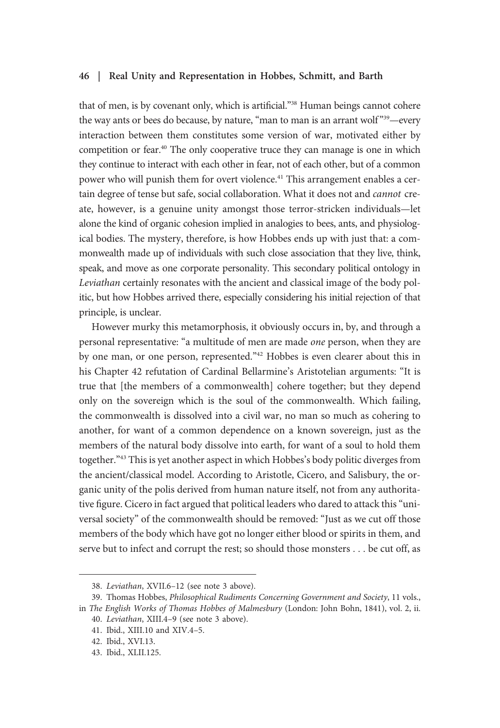that of men, is by covenant only, which is artificial."<sup>38</sup> Human beings cannot cohere the way ants or bees do because, by nature, "man to man is an arrant wolf"<sup>39</sup>-every interaction between them constitutes some version of war, motivated either by competition or fear.<sup>40</sup> The only cooperative truce they can manage is one in which they continue to interact with each other in fear, not of each other, but of a common power who will punish them for overt violence.<sup>41</sup> This arrangement enables a certain degree of tense but safe, social collaboration. What it does not and cannot create, however, is a genuine unity amongst those terror-stricken individuals—let alone the kind of organic cohesion implied in analogies to bees, ants, and physiological bodies. The mystery, therefore, is how Hobbes ends up with just that: a commonwealth made up of individuals with such close association that they live, think, speak, and move as one corporate personality. This secondary political ontology in Leviathan certainly resonates with the ancient and classical image of the body politic, but how Hobbes arrived there, especially considering his initial rejection of that principle, is unclear.

However murky this metamorphosis, it obviously occurs in, by, and through a personal representative: "a multitude of men are made one person, when they are by one man, or one person, represented."<sup>42</sup> Hobbes is even clearer about this in his Chapter 42 refutation of Cardinal Bellarmine's Aristotelian arguments: "It is true that [the members of a commonwealth] cohere together; but they depend only on the sovereign which is the soul of the commonwealth. Which failing, the commonwealth is dissolved into a civil war, no man so much as cohering to another, for want of a common dependence on a known sovereign, just as the members of the natural body dissolve into earth, for want of a soul to hold them together."<sup>43</sup> This is yet another aspect in which Hobbes's body politic diverges from the ancient/classical model. According to Aristotle, Cicero, and Salisbury, the organic unity of the polis derived from human nature itself, not from any authoritative figure. Cicero in fact argued that political leaders who dared to attack this"universal society" of the commonwealth should be removed: "Just as we cut off those members of the body which have got no longer either blood or spirits in them, and serve but to infect and corrupt the rest; so should those monsters ... be cut off, as

<sup>38.</sup> Leviathan, XVII.6–12 (see note 3 above).

<sup>39.</sup> Thomas Hobbes, Philosophical Rudiments Concerning Government and Society, 11 vols., in The English Works of Thomas Hobbes of Malmesbury (London: John Bohn, 1841), vol. 2, ii.

<sup>40.</sup> Leviathan, XIII.4–9 (see note 3 above).

<sup>41.</sup> Ibid., XIII.10 and XIV.4–5.

<sup>42.</sup> Ibid., XVI.13.

<sup>43.</sup> Ibid., XLII.125.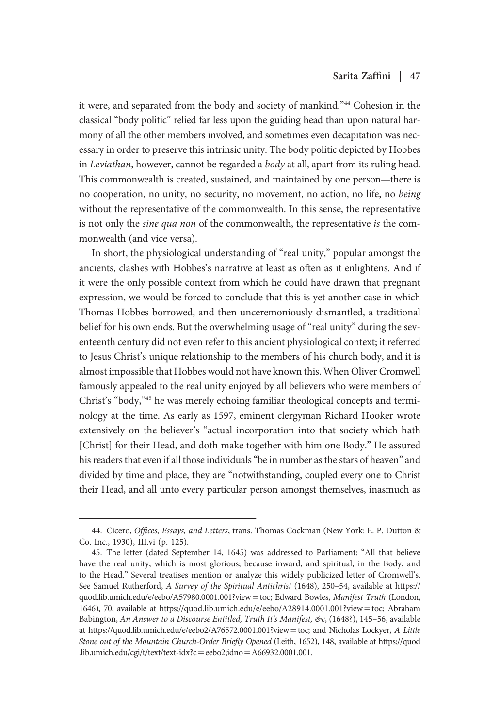it were, and separated from the body and society of mankind."<sup>44</sup> Cohesion in the classical "body politic" relied far less upon the guiding head than upon natural harmony of all the other members involved, and sometimes even decapitation was necessary in order to preserve this intrinsic unity. The body politic depicted by Hobbes in Leviathan, however, cannot be regarded a body at all, apart from its ruling head. This commonwealth is created, sustained, and maintained by one person—there is no cooperation, no unity, no security, no movement, no action, no life, no being without the representative of the commonwealth. In this sense, the representative is not only the sine qua non of the commonwealth, the representative is the commonwealth (and vice versa).

In short, the physiological understanding of "real unity," popular amongst the ancients, clashes with Hobbes's narrative at least as often as it enlightens. And if it were the only possible context from which he could have drawn that pregnant expression, we would be forced to conclude that this is yet another case in which Thomas Hobbes borrowed, and then unceremoniously dismantled, a traditional belief for his own ends. But the overwhelming usage of "real unity" during the seventeenth century did not even refer to this ancient physiological context; it referred to Jesus Christ's unique relationship to the members of his church body, and it is almost impossible that Hobbes would not have known this. When Oliver Cromwell famously appealed to the real unity enjoyed by all believers who were members of Christ's "body,"<sup>45</sup> he was merely echoing familiar theological concepts and terminology at the time. As early as 1597, eminent clergyman Richard Hooker wrote extensively on the believer's "actual incorporation into that society which hath [Christ] for their Head, and doth make together with him one Body." He assured his readers that even if all those individuals"be in number as the stars of heaven" and divided by time and place, they are "notwithstanding, coupled every one to Christ their Head, and all unto every particular person amongst themselves, inasmuch as

<sup>44.</sup> Cicero, Offices, Essays, and Letters, trans. Thomas Cockman (New York: E. P. Dutton & Co. Inc., 1930), III.vi (p. 125).

<sup>45.</sup> The letter (dated September 14, 1645) was addressed to Parliament: "All that believe have the real unity, which is most glorious; because inward, and spiritual, in the Body, and to the Head." Several treatises mention or analyze this widely publicized letter of Cromwell's. See Samuel Rutherford, A Survey of the Spiritual Antichrist (1648), 250–54, available at https:// quod.lib.umich.edu/e/eebo/A57980.0001.001?view=toc; Edward Bowles, Manifest Truth (London, 1646), 70, available at https://quod.lib.umich.edu/e/eebo/A28914.0001.001?view=toc; Abraham Babington, An Answer to a Discourse Entitled, Truth It's Manifest, &c, (1648?), 145-56, available at https://quod.lib.umich.edu/e/eebo2/A76572.0001.001?view = toc; and Nicholas Lockyer, A Little Stone out of the Mountain Church-Order Briefly Opened (Leith, 1652), 148, available at https://quod .lib.umich.edu/cgi/t/text/text-idx?c = eebo2;idno =  $A66932.0001.001$ .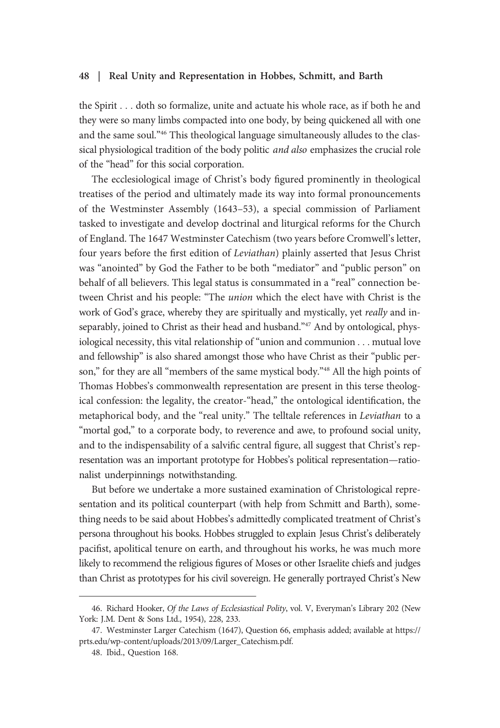the Spirit ... doth so formalize, unite and actuate his whole race, as if both he and they were so many limbs compacted into one body, by being quickened all with one and the same soul."<sup>46</sup> This theological language simultaneously alludes to the classical physiological tradition of the body politic and also emphasizes the crucial role of the "head" for this social corporation.

The ecclesiological image of Christ's body figured prominently in theological treatises of the period and ultimately made its way into formal pronouncements of the Westminster Assembly (1643–53), a special commission of Parliament tasked to investigate and develop doctrinal and liturgical reforms for the Church of England. The 1647 Westminster Catechism (two years before Cromwell's letter, four years before the first edition of Leviathan) plainly asserted that Jesus Christ was "anointed" by God the Father to be both "mediator" and "public person" on behalf of all believers. This legal status is consummated in a "real" connection between Christ and his people: "The union which the elect have with Christ is the work of God's grace, whereby they are spiritually and mystically, yet really and inseparably, joined to Christ as their head and husband."<sup>47</sup> And by ontological, physiological necessity, this vital relationship of "union and communion ... mutual love and fellowship" is also shared amongst those who have Christ as their "public person," for they are all "members of the same mystical body."<sup>48</sup> All the high points of Thomas Hobbes's commonwealth representation are present in this terse theological confession: the legality, the creator-"head," the ontological identification, the metaphorical body, and the "real unity." The telltale references in Leviathan to a "mortal god," to a corporate body, to reverence and awe, to profound social unity, and to the indispensability of a salvific central figure, all suggest that Christ's representation was an important prototype for Hobbes's political representation—rationalist underpinnings notwithstanding.

But before we undertake a more sustained examination of Christological representation and its political counterpart (with help from Schmitt and Barth), something needs to be said about Hobbes's admittedly complicated treatment of Christ's persona throughout his books. Hobbes struggled to explain Jesus Christ's deliberately pacifist, apolitical tenure on earth, and throughout his works, he was much more likely to recommend the religious figures of Moses or other Israelite chiefs and judges than Christ as prototypes for his civil sovereign. He generally portrayed Christ's New

<sup>46.</sup> Richard Hooker, Of the Laws of Ecclesiastical Polity, vol. V, Everyman's Library 202 (New York: J.M. Dent & Sons Ltd., 1954), 228, 233.

<sup>47.</sup> Westminster Larger Catechism (1647), Question 66, emphasis added; available at https:// prts.edu/wp-content/uploads/2013/09/Larger\_Catechism.pdf.

<sup>48.</sup> Ibid., Question 168.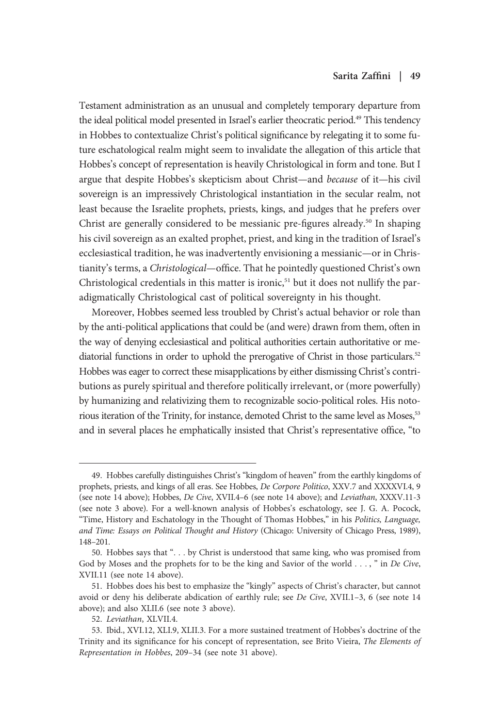Testament administration as an unusual and completely temporary departure from the ideal political model presented in Israel's earlier theocratic period.<sup>49</sup> This tendency in Hobbes to contextualize Christ's political significance by relegating it to some future eschatological realm might seem to invalidate the allegation of this article that Hobbes's concept of representation is heavily Christological in form and tone. But I argue that despite Hobbes's skepticism about Christ—and because of it—his civil sovereign is an impressively Christological instantiation in the secular realm, not least because the Israelite prophets, priests, kings, and judges that he prefers over Christ are generally considered to be messianic pre-figures already.<sup>50</sup> In shaping his civil sovereign as an exalted prophet, priest, and king in the tradition of Israel's ecclesiastical tradition, he was inadvertently envisioning a messianic—or in Christianity's terms, a Christological—office. That he pointedly questioned Christ's own Christological credentials in this matter is ironic,<sup>51</sup> but it does not nullify the paradigmatically Christological cast of political sovereignty in his thought.

Moreover, Hobbes seemed less troubled by Christ's actual behavior or role than by the anti-political applications that could be (and were) drawn from them, often in the way of denying ecclesiastical and political authorities certain authoritative or mediatorial functions in order to uphold the prerogative of Christ in those particulars.<sup>52</sup> Hobbes was eager to correct these misapplications by either dismissing Christ's contributions as purely spiritual and therefore politically irrelevant, or (more powerfully) by humanizing and relativizing them to recognizable socio-political roles. His notorious iteration of the Trinity, for instance, demoted Christ to the same level as Moses,<sup>53</sup> and in several places he emphatically insisted that Christ's representative office, "to

<sup>49.</sup> Hobbes carefully distinguishes Christ's "kingdom of heaven" from the earthly kingdoms of prophets, priests, and kings of all eras. See Hobbes, De Corpore Politico, XXV.7 and XXXXVI.4, 9 (see note 14 above); Hobbes, De Cive, XVII.4–6 (see note 14 above); and Leviathan, XXXV.11-3 (see note 3 above). For a well-known analysis of Hobbes's eschatology, see J. G. A. Pocock, "Time, History and Eschatology in the Thought of Thomas Hobbes," in his Politics, Language, and Time: Essays on Political Thought and History (Chicago: University of Chicago Press, 1989), 148–201.

<sup>50.</sup> Hobbes says that "... by Christ is understood that same king, who was promised from God by Moses and the prophets for to be the king and Savior of the world . . . , " in De Cive, XVII.11 (see note 14 above).

<sup>51.</sup> Hobbes does his best to emphasize the "kingly" aspects of Christ's character, but cannot avoid or deny his deliberate abdication of earthly rule; see De Cive, XVII.1–3, 6 (see note 14 above); and also XLII.6 (see note 3 above).

<sup>52.</sup> Leviathan, XLVII.4.

<sup>53.</sup> Ibid., XVI.12, XLI.9, XLII.3. For a more sustained treatment of Hobbes's doctrine of the Trinity and its significance for his concept of representation, see Brito Vieira, The Elements of Representation in Hobbes, 209–34 (see note 31 above).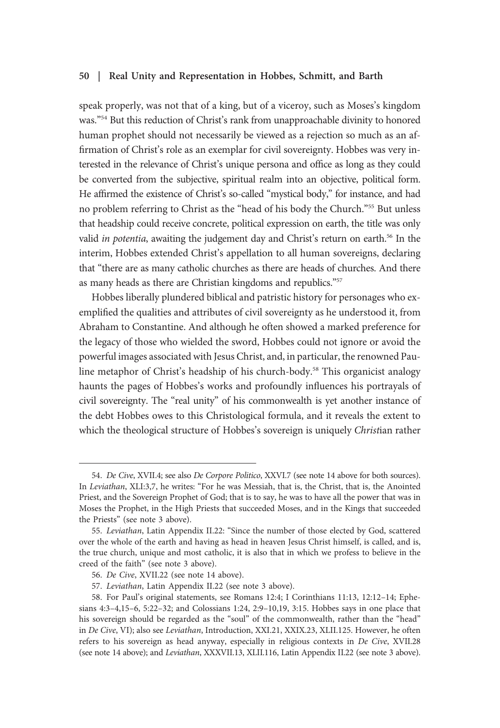speak properly, was not that of a king, but of a viceroy, such as Moses's kingdom was."<sup>54</sup> But this reduction of Christ's rank from unapproachable divinity to honored human prophet should not necessarily be viewed as a rejection so much as an affirmation of Christ's role as an exemplar for civil sovereignty. Hobbes was very interested in the relevance of Christ's unique persona and office as long as they could be converted from the subjective, spiritual realm into an objective, political form. He affirmed the existence of Christ's so-called "mystical body," for instance, and had no problem referring to Christ as the "head of his body the Church."<sup>55</sup> But unless that headship could receive concrete, political expression on earth, the title was only valid in potentia, awaiting the judgement day and Christ's return on earth.<sup>56</sup> In the interim, Hobbes extended Christ's appellation to all human sovereigns, declaring that "there are as many catholic churches as there are heads of churches. And there as many heads as there are Christian kingdoms and republics."<sup>57</sup>

Hobbes liberally plundered biblical and patristic history for personages who exemplified the qualities and attributes of civil sovereignty as he understood it, from Abraham to Constantine. And although he often showed a marked preference for the legacy of those who wielded the sword, Hobbes could not ignore or avoid the powerful images associated with Jesus Christ, and, in particular, the renowned Pauline metaphor of Christ's headship of his church-body.<sup>58</sup> This organicist analogy haunts the pages of Hobbes's works and profoundly influences his portrayals of civil sovereignty. The "real unity" of his commonwealth is yet another instance of the debt Hobbes owes to this Christological formula, and it reveals the extent to which the theological structure of Hobbes's sovereign is uniquely Christian rather

<sup>54.</sup> De Cive, XVII.4; see also De Corpore Politico, XXVI.7 (see note 14 above for both sources). In Leviathan, XLI:3,7, he writes: "For he was Messiah, that is, the Christ, that is, the Anointed Priest, and the Sovereign Prophet of God; that is to say, he was to have all the power that was in Moses the Prophet, in the High Priests that succeeded Moses, and in the Kings that succeeded the Priests" (see note 3 above).

<sup>55.</sup> Leviathan, Latin Appendix II.22: "Since the number of those elected by God, scattered over the whole of the earth and having as head in heaven Jesus Christ himself, is called, and is, the true church, unique and most catholic, it is also that in which we profess to believe in the creed of the faith" (see note 3 above).

<sup>56.</sup> De Cive, XVII.22 (see note 14 above).

<sup>57.</sup> Leviathan, Latin Appendix II.22 (see note 3 above).

<sup>58.</sup> For Paul's original statements, see Romans 12:4; I Corinthians 11:13, 12:12–14; Ephesians 4:3–4,15–6, 5:22–32; and Colossians 1:24, 2:9–10,19, 3:15. Hobbes says in one place that his sovereign should be regarded as the "soul" of the commonwealth, rather than the "head" in De Cive, VI); also see Leviathan, Introduction, XXI.21, XXIX.23, XLII.125. However, he often refers to his sovereign as head anyway, especially in religious contexts in De Cive, XVII.28 (see note 14 above); and Leviathan, XXXVII.13, XLII.116, Latin Appendix II.22 (see note 3 above).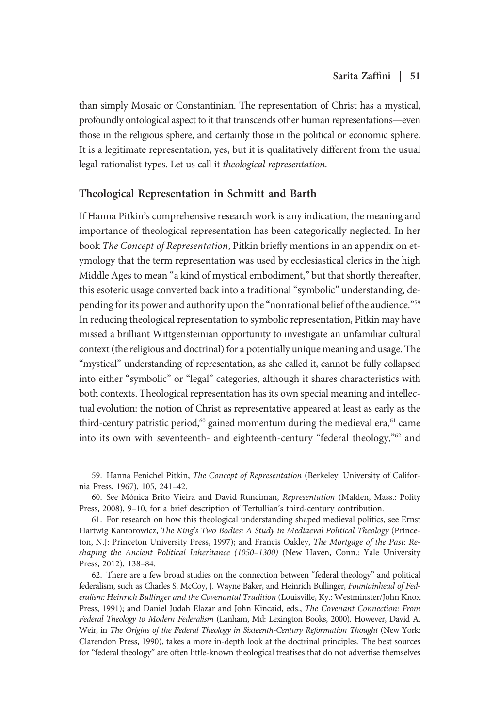than simply Mosaic or Constantinian. The representation of Christ has a mystical, profoundly ontological aspect to it that transcends other human representations—even those in the religious sphere, and certainly those in the political or economic sphere. It is a legitimate representation, yes, but it is qualitatively different from the usual legal-rationalist types. Let us call it theological representation.

# Theological Representation in Schmitt and Barth

If Hanna Pitkin's comprehensive research work is any indication, the meaning and importance of theological representation has been categorically neglected. In her book The Concept of Representation, Pitkin briefly mentions in an appendix on etymology that the term representation was used by ecclesiastical clerics in the high Middle Ages to mean "a kind of mystical embodiment," but that shortly thereafter, this esoteric usage converted back into a traditional "symbolic" understanding, depending for its power and authority upon the "nonrational belief of the audience."<sup>59</sup> In reducing theological representation to symbolic representation, Pitkin may have missed a brilliant Wittgensteinian opportunity to investigate an unfamiliar cultural context (the religious and doctrinal) for a potentially unique meaning and usage. The "mystical" understanding of representation, as she called it, cannot be fully collapsed into either "symbolic" or "legal" categories, although it shares characteristics with both contexts. Theological representation has its own special meaning and intellectual evolution: the notion of Christ as representative appeared at least as early as the third-century patristic period,<sup>60</sup> gained momentum during the medieval era,<sup>61</sup> came into its own with seventeenth- and eighteenth-century "federal theology,"<sup>62</sup> and

<sup>59.</sup> Hanna Fenichel Pitkin, The Concept of Representation (Berkeley: University of California Press, 1967), 105, 241–42.

<sup>60.</sup> See Mónica Brito Vieira and David Runciman, Representation (Malden, Mass.: Polity Press, 2008), 9–10, for a brief description of Tertullian's third-century contribution.

<sup>61.</sup> For research on how this theological understanding shaped medieval politics, see Ernst Hartwig Kantorowicz, The King's Two Bodies: A Study in Mediaeval Political Theology (Princeton, N.J: Princeton University Press, 1997); and Francis Oakley, The Mortgage of the Past: Reshaping the Ancient Political Inheritance (1050–1300) (New Haven, Conn.: Yale University Press, 2012), 138–84.

<sup>62.</sup> There are a few broad studies on the connection between "federal theology" and political federalism, such as Charles S. McCoy, J. Wayne Baker, and Heinrich Bullinger, Fountainhead of Federalism: Heinrich Bullinger and the Covenantal Tradition (Louisville, Ky.: Westminster/John Knox Press, 1991); and Daniel Judah Elazar and John Kincaid, eds., The Covenant Connection: From Federal Theology to Modern Federalism (Lanham, Md: Lexington Books, 2000). However, David A. Weir, in The Origins of the Federal Theology in Sixteenth-Century Reformation Thought (New York: Clarendon Press, 1990), takes a more in-depth look at the doctrinal principles. The best sources for "federal theology" are often little-known theological treatises that do not advertise themselves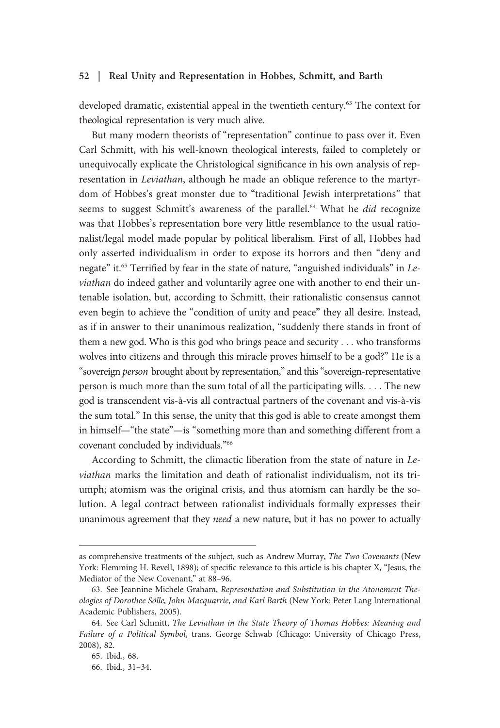developed dramatic, existential appeal in the twentieth century.<sup>63</sup> The context for theological representation is very much alive.

But many modern theorists of "representation" continue to pass over it. Even Carl Schmitt, with his well-known theological interests, failed to completely or unequivocally explicate the Christological significance in his own analysis of representation in Leviathan, although he made an oblique reference to the martyrdom of Hobbes's great monster due to "traditional Jewish interpretations" that seems to suggest Schmitt's awareness of the parallel.<sup>64</sup> What he did recognize was that Hobbes's representation bore very little resemblance to the usual rationalist/legal model made popular by political liberalism. First of all, Hobbes had only asserted individualism in order to expose its horrors and then "deny and negate" it.<sup>65</sup> Terrified by fear in the state of nature, "anguished individuals" in Leviathan do indeed gather and voluntarily agree one with another to end their untenable isolation, but, according to Schmitt, their rationalistic consensus cannot even begin to achieve the "condition of unity and peace" they all desire. Instead, as if in answer to their unanimous realization, "suddenly there stands in front of them a new god. Who is this god who brings peace and security ... who transforms wolves into citizens and through this miracle proves himself to be a god?" He is a "sovereign person brought about by representation," and this"sovereign-representative person is much more than the sum total of all the participating wills... . The new god is transcendent vis-à-vis all contractual partners of the covenant and vis-à-vis the sum total." In this sense, the unity that this god is able to create amongst them in himself—"the state"—is "something more than and something different from a covenant concluded by individuals."<sup>66</sup>

According to Schmitt, the climactic liberation from the state of nature in Leviathan marks the limitation and death of rationalist individualism, not its triumph; atomism was the original crisis, and thus atomism can hardly be the solution. A legal contract between rationalist individuals formally expresses their unanimous agreement that they need a new nature, but it has no power to actually

as comprehensive treatments of the subject, such as Andrew Murray, The Two Covenants (New York: Flemming H. Revell, 1898); of specific relevance to this article is his chapter X, "Jesus, the Mediator of the New Covenant," at 88–96.

<sup>63.</sup> See Jeannine Michele Graham, Representation and Substitution in the Atonement Theologies of Dorothee Sölle, John Macquarrie, and Karl Barth (New York: Peter Lang International Academic Publishers, 2005).

<sup>64.</sup> See Carl Schmitt, The Leviathan in the State Theory of Thomas Hobbes: Meaning and Failure of a Political Symbol, trans. George Schwab (Chicago: University of Chicago Press, 2008), 82.

<sup>65.</sup> Ibid., 68.

<sup>66.</sup> Ibid., 31–34.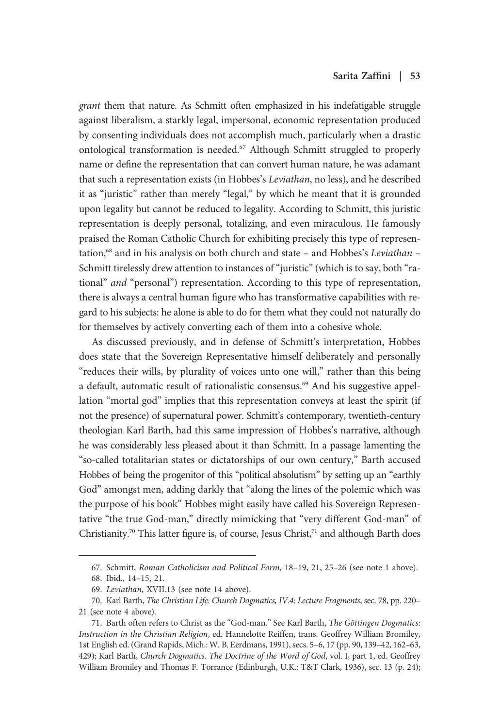grant them that nature. As Schmitt often emphasized in his indefatigable struggle against liberalism, a starkly legal, impersonal, economic representation produced by consenting individuals does not accomplish much, particularly when a drastic ontological transformation is needed.67 Although Schmitt struggled to properly name or define the representation that can convert human nature, he was adamant that such a representation exists (in Hobbes's Leviathan, no less), and he described it as "juristic" rather than merely "legal," by which he meant that it is grounded upon legality but cannot be reduced to legality. According to Schmitt, this juristic representation is deeply personal, totalizing, and even miraculous. He famously praised the Roman Catholic Church for exhibiting precisely this type of representation,<sup>68</sup> and in his analysis on both church and state - and Hobbes's Leviathan -Schmitt tirelessly drew attention to instances of "juristic" (which is to say, both "rational" and "personal") representation. According to this type of representation, there is always a central human figure who has transformative capabilities with regard to his subjects: he alone is able to do for them what they could not naturally do for themselves by actively converting each of them into a cohesive whole.

As discussed previously, and in defense of Schmitt's interpretation, Hobbes does state that the Sovereign Representative himself deliberately and personally "reduces their wills, by plurality of voices unto one will," rather than this being a default, automatic result of rationalistic consensus.<sup>69</sup> And his suggestive appellation "mortal god" implies that this representation conveys at least the spirit (if not the presence) of supernatural power. Schmitt's contemporary, twentieth-century theologian Karl Barth, had this same impression of Hobbes's narrative, although he was considerably less pleased about it than Schmitt. In a passage lamenting the "so-called totalitarian states or dictatorships of our own century," Barth accused Hobbes of being the progenitor of this "political absolutism" by setting up an "earthly God" amongst men, adding darkly that "along the lines of the polemic which was the purpose of his book" Hobbes might easily have called his Sovereign Representative "the true God-man," directly mimicking that "very different God-man" of Christianity.<sup>70</sup> This latter figure is, of course, Jesus Christ,<sup>71</sup> and although Barth does

<sup>67.</sup> Schmitt, Roman Catholicism and Political Form, 18–19, 21, 25–26 (see note 1 above). 68. Ibid., 14–15, 21.

<sup>69.</sup> Leviathan, XVII.13 (see note 14 above).

<sup>70.</sup> Karl Barth, The Christian Life: Church Dogmatics, IV.4; Lecture Fragments, sec. 78, pp. 220– 21 (see note 4 above).

<sup>71.</sup> Barth often refers to Christ as the "God-man." See Karl Barth, The Göttingen Dogmatics: Instruction in the Christian Religion, ed. Hannelotte Reiffen, trans. Geoffrey William Bromiley, 1st English ed. (Grand Rapids, Mich.: W. B. Eerdmans, 1991), secs. 5–6, 17 (pp. 90, 139–42, 162–63, 429); Karl Barth, Church Dogmatics. The Doctrine of the Word of God, vol. I, part 1, ed. Geoffrey William Bromiley and Thomas F. Torrance (Edinburgh, U.K.: T&T Clark, 1936), sec. 13 (p. 24);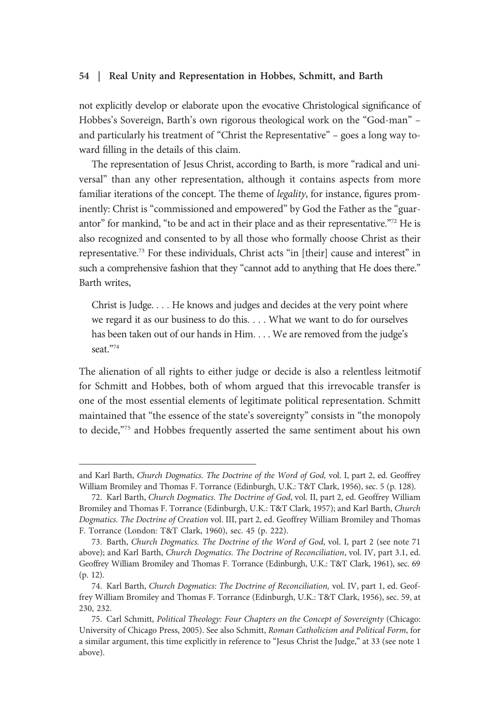not explicitly develop or elaborate upon the evocative Christological significance of Hobbes's Sovereign, Barth's own rigorous theological work on the "God-man" – and particularly his treatment of "Christ the Representative" – goes a long way toward filling in the details of this claim.

The representation of Jesus Christ, according to Barth, is more "radical and universal" than any other representation, although it contains aspects from more familiar iterations of the concept. The theme of legality, for instance, figures prominently: Christ is "commissioned and empowered" by God the Father as the "guarantor" for mankind, "to be and act in their place and as their representative."<sup>72</sup> He is also recognized and consented to by all those who formally choose Christ as their representative.73 For these individuals, Christ acts "in [their] cause and interest" in such a comprehensive fashion that they "cannot add to anything that He does there." Barth writes,

Christ is Judge. ... He knows and judges and decides at the very point where we regard it as our business to do this... . What we want to do for ourselves has been taken out of our hands in Him. . . . We are removed from the judge's seat."74

The alienation of all rights to either judge or decide is also a relentless leitmotif for Schmitt and Hobbes, both of whom argued that this irrevocable transfer is one of the most essential elements of legitimate political representation. Schmitt maintained that "the essence of the state's sovereignty" consists in "the monopoly to decide,"<sup>75</sup> and Hobbes frequently asserted the same sentiment about his own

and Karl Barth, Church Dogmatics. The Doctrine of the Word of God, vol. I, part 2, ed. Geoffrey William Bromiley and Thomas F. Torrance (Edinburgh, U.K.: T&T Clark, 1956), sec. 5 (p. 128).

<sup>72.</sup> Karl Barth, Church Dogmatics. The Doctrine of God, vol. II, part 2, ed. Geoffrey William Bromiley and Thomas F. Torrance (Edinburgh, U.K.: T&T Clark, 1957); and Karl Barth, Church Dogmatics. The Doctrine of Creation vol. III, part 2, ed. Geoffrey William Bromiley and Thomas F. Torrance (London: T&T Clark, 1960), sec. 45 (p. 222).

<sup>73.</sup> Barth, Church Dogmatics. The Doctrine of the Word of God, vol. I, part 2 (see note 71 above); and Karl Barth, Church Dogmatics. The Doctrine of Reconciliation, vol. IV, part 3.1, ed. Geoffrey William Bromiley and Thomas F. Torrance (Edinburgh, U.K.: T&T Clark, 1961), sec. 69 (p. 12).

<sup>74.</sup> Karl Barth, Church Dogmatics: The Doctrine of Reconciliation, vol. IV, part 1, ed. Geoffrey William Bromiley and Thomas F. Torrance (Edinburgh, U.K.: T&T Clark, 1956), sec. 59, at 230, 232.

<sup>75.</sup> Carl Schmitt, Political Theology: Four Chapters on the Concept of Sovereignty (Chicago: University of Chicago Press, 2005). See also Schmitt, Roman Catholicism and Political Form, for a similar argument, this time explicitly in reference to "Jesus Christ the Judge," at 33 (see note 1 above).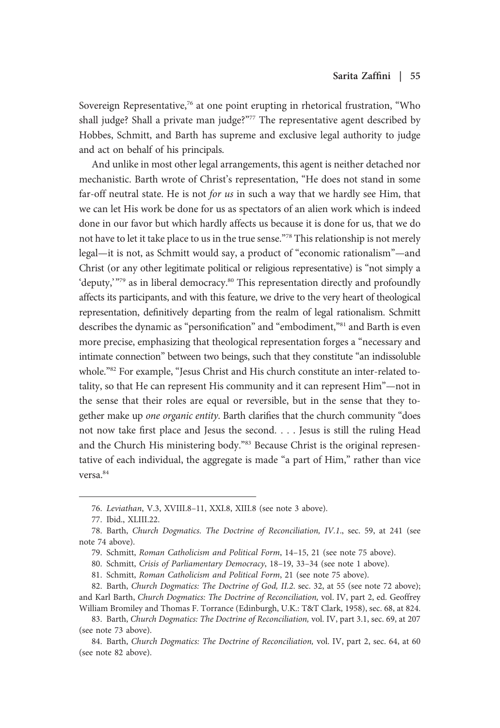Sovereign Representative,<sup>76</sup> at one point erupting in rhetorical frustration, "Who shall judge? Shall a private man judge?"<sup>77</sup> The representative agent described by Hobbes, Schmitt, and Barth has supreme and exclusive legal authority to judge and act on behalf of his principals.

And unlike in most other legal arrangements, this agent is neither detached nor mechanistic. Barth wrote of Christ's representation, "He does not stand in some far-off neutral state. He is not for us in such a way that we hardly see Him, that we can let His work be done for us as spectators of an alien work which is indeed done in our favor but which hardly affects us because it is done for us, that we do not have to let it take place to us in the true sense."<sup>78</sup> This relationship is not merely legal—it is not, as Schmitt would say, a product of "economic rationalism"—and Christ (or any other legitimate political or religious representative) is "not simply a 'deputy,'"79 as in liberal democracy.<sup>80</sup> This representation directly and profoundly affects its participants, and with this feature, we drive to the very heart of theological representation, definitively departing from the realm of legal rationalism. Schmitt describes the dynamic as "personification" and "embodiment,"<sup>81</sup> and Barth is even more precise, emphasizing that theological representation forges a "necessary and intimate connection" between two beings, such that they constitute "an indissoluble whole."<sup>82</sup> For example, "Jesus Christ and His church constitute an inter-related totality, so that He can represent His community and it can represent Him"—not in the sense that their roles are equal or reversible, but in the sense that they together make up one organic entity. Barth clarifies that the church community "does not now take first place and Jesus the second... . Jesus is still the ruling Head and the Church His ministering body."<sup>83</sup> Because Christ is the original representative of each individual, the aggregate is made "a part of Him," rather than vice versa.<sup>84</sup>

<sup>76.</sup> Leviathan, V.3, XVIII.8–11, XXI.8, XIII.8 (see note 3 above).

<sup>77.</sup> Ibid., XLIII.22.

<sup>78.</sup> Barth, Church Dogmatics. The Doctrine of Reconciliation, IV.1., sec. 59, at 241 (see note 74 above).

<sup>79.</sup> Schmitt, Roman Catholicism and Political Form, 14–15, 21 (see note 75 above).

<sup>80.</sup> Schmitt, Crisis of Parliamentary Democracy, 18–19, 33–34 (see note 1 above).

<sup>81.</sup> Schmitt, Roman Catholicism and Political Form, 21 (see note 75 above).

<sup>82.</sup> Barth, Church Dogmatics: The Doctrine of God, II.2. sec. 32, at 55 (see note 72 above); and Karl Barth, Church Dogmatics: The Doctrine of Reconciliation, vol. IV, part 2, ed. Geoffrey William Bromiley and Thomas F. Torrance (Edinburgh, U.K.: T&T Clark, 1958), sec. 68, at 824.

<sup>83.</sup> Barth, Church Dogmatics: The Doctrine of Reconciliation, vol. IV, part 3.1, sec. 69, at 207 (see note 73 above).

<sup>84.</sup> Barth, Church Dogmatics: The Doctrine of Reconciliation, vol. IV, part 2, sec. 64, at 60 (see note 82 above).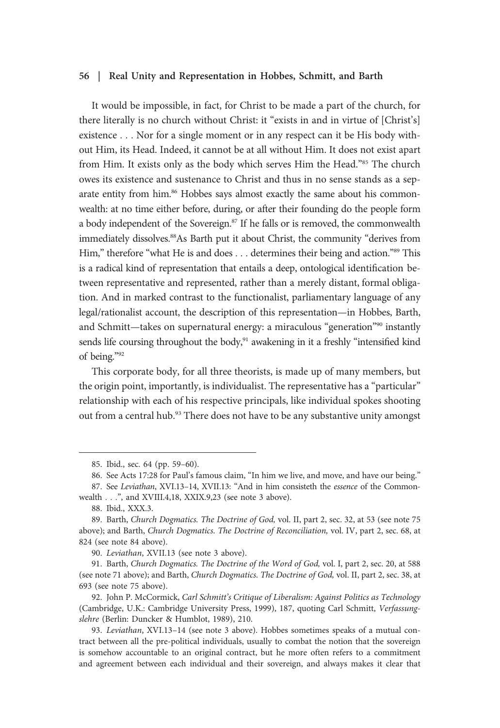It would be impossible, in fact, for Christ to be made a part of the church, for there literally is no church without Christ: it "exists in and in virtue of [Christ's] existence ... Nor for a single moment or in any respect can it be His body without Him, its Head. Indeed, it cannot be at all without Him. It does not exist apart from Him. It exists only as the body which serves Him the Head."85 The church owes its existence and sustenance to Christ and thus in no sense stands as a separate entity from him.<sup>86</sup> Hobbes says almost exactly the same about his commonwealth: at no time either before, during, or after their founding do the people form a body independent of the Sovereign.<sup>87</sup> If he falls or is removed, the commonwealth immediately dissolves.<sup>88</sup>As Barth put it about Christ, the community "derives from Him," therefore "what He is and does . . . determines their being and action."<sup>89</sup> This is a radical kind of representation that entails a deep, ontological identification between representative and represented, rather than a merely distant, formal obligation. And in marked contrast to the functionalist, parliamentary language of any legal/rationalist account, the description of this representation—in Hobbes, Barth, and Schmitt-takes on supernatural energy: a miraculous "generation"<sup>90</sup> instantly sends life coursing throughout the body,<sup>91</sup> awakening in it a freshly "intensified kind of being."<sup>92</sup>

This corporate body, for all three theorists, is made up of many members, but the origin point, importantly, is individualist. The representative has a "particular" relationship with each of his respective principals, like individual spokes shooting out from a central hub.<sup>93</sup> There does not have to be any substantive unity amongst

<sup>85.</sup> Ibid., sec. 64 (pp. 59–60).

<sup>86.</sup> See Acts 17:28 for Paul's famous claim, "In him we live, and move, and have our being."

<sup>87.</sup> See Leviathan, XVI.13–14, XVII.13: "And in him consisteth the essence of the Commonwealth ...", and XVIII.4,18, XXIX.9,23 (see note 3 above).

<sup>88.</sup> Ibid., XXX.3.

<sup>89.</sup> Barth, Church Dogmatics. The Doctrine of God, vol. II, part 2, sec. 32, at 53 (see note 75 above); and Barth, Church Dogmatics. The Doctrine of Reconciliation, vol. IV, part 2, sec. 68, at 824 (see note 84 above).

<sup>90.</sup> Leviathan, XVII.13 (see note 3 above).

<sup>91.</sup> Barth, Church Dogmatics. The Doctrine of the Word of God, vol. I, part 2, sec. 20, at 588 (see note 71 above); and Barth, Church Dogmatics. The Doctrine of God, vol. II, part 2, sec. 38, at 693 (see note 75 above).

<sup>92.</sup> John P. McCormick, Carl Schmitt's Critique of Liberalism: Against Politics as Technology (Cambridge, U.K.: Cambridge University Press, 1999), 187, quoting Carl Schmitt, Verfassungslehre (Berlin: Duncker & Humblot, 1989), 210.

<sup>93.</sup> Leviathan, XVI.13–14 (see note 3 above). Hobbes sometimes speaks of a mutual contract between all the pre-political individuals, usually to combat the notion that the sovereign is somehow accountable to an original contract, but he more often refers to a commitment and agreement between each individual and their sovereign, and always makes it clear that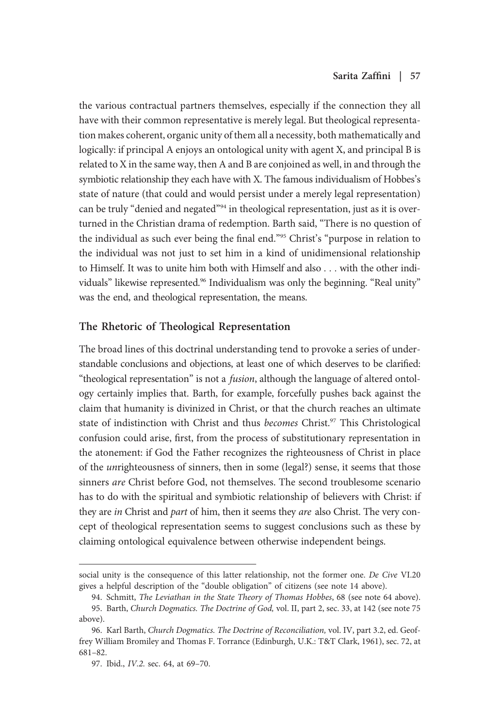the various contractual partners themselves, especially if the connection they all have with their common representative is merely legal. But theological representation makes coherent, organic unity of them all a necessity, both mathematically and logically: if principal A enjoys an ontological unity with agent X, and principal B is related to X in the same way, then A and B are conjoined as well, in and through the symbiotic relationship they each have with X. The famous individualism of Hobbes's state of nature (that could and would persist under a merely legal representation) can be truly "denied and negated"<sup>94</sup> in theological representation, just as it is overturned in the Christian drama of redemption. Barth said, "There is no question of the individual as such ever being the final end."<sup>95</sup> Christ's "purpose in relation to the individual was not just to set him in a kind of unidimensional relationship to Himself. It was to unite him both with Himself and also ... with the other individuals" likewise represented.<sup>96</sup> Individualism was only the beginning. "Real unity" was the end, and theological representation, the means.

## The Rhetoric of Theological Representation

The broad lines of this doctrinal understanding tend to provoke a series of understandable conclusions and objections, at least one of which deserves to be clarified: "theological representation" is not a *fusion*, although the language of altered ontology certainly implies that. Barth, for example, forcefully pushes back against the claim that humanity is divinized in Christ, or that the church reaches an ultimate state of indistinction with Christ and thus becomes Christ.97 This Christological confusion could arise, first, from the process of substitutionary representation in the atonement: if God the Father recognizes the righteousness of Christ in place of the unrighteousness of sinners, then in some (legal?) sense, it seems that those sinners are Christ before God, not themselves. The second troublesome scenario has to do with the spiritual and symbiotic relationship of believers with Christ: if they are in Christ and part of him, then it seems they are also Christ. The very concept of theological representation seems to suggest conclusions such as these by claiming ontological equivalence between otherwise independent beings.

social unity is the consequence of this latter relationship, not the former one. De Cive VI.20 gives a helpful description of the "double obligation" of citizens (see note 14 above).

<sup>94.</sup> Schmitt, The Leviathan in the State Theory of Thomas Hobbes, 68 (see note 64 above).

<sup>95.</sup> Barth, Church Dogmatics. The Doctrine of God, vol. II, part 2, sec. 33, at 142 (see note 75 above).

<sup>96.</sup> Karl Barth, Church Dogmatics. The Doctrine of Reconciliation, vol. IV, part 3.2, ed. Geoffrey William Bromiley and Thomas F. Torrance (Edinburgh, U.K.: T&T Clark, 1961), sec. 72, at 681–82.

<sup>97.</sup> Ibid., IV.2. sec. 64, at 69–70.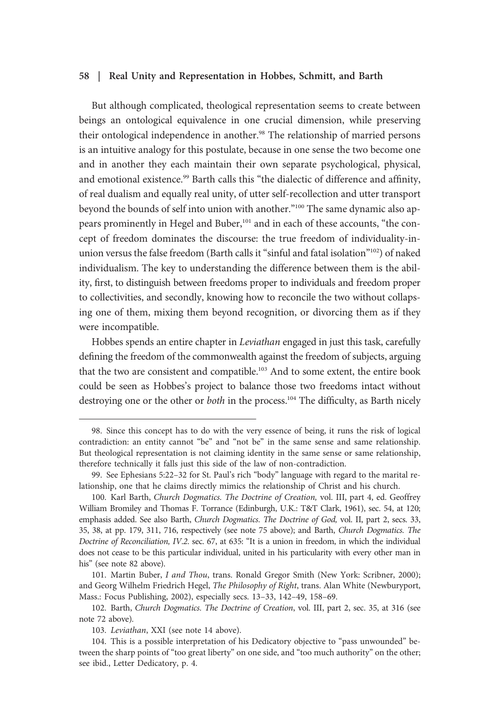But although complicated, theological representation seems to create between beings an ontological equivalence in one crucial dimension, while preserving their ontological independence in another.<sup>98</sup> The relationship of married persons is an intuitive analogy for this postulate, because in one sense the two become one and in another they each maintain their own separate psychological, physical, and emotional existence.<sup>99</sup> Barth calls this "the dialectic of difference and affinity, of real dualism and equally real unity, of utter self-recollection and utter transport beyond the bounds of self into union with another."<sup>100</sup> The same dynamic also appears prominently in Hegel and Buber,<sup>101</sup> and in each of these accounts, "the concept of freedom dominates the discourse: the true freedom of individuality-inunion versus the false freedom (Barth calls it "sinful and fatal isolation"<sup>102</sup>) of naked individualism. The key to understanding the difference between them is the ability, first, to distinguish between freedoms proper to individuals and freedom proper to collectivities, and secondly, knowing how to reconcile the two without collapsing one of them, mixing them beyond recognition, or divorcing them as if they were incompatible.

Hobbes spends an entire chapter in Leviathan engaged in just this task, carefully defining the freedom of the commonwealth against the freedom of subjects, arguing that the two are consistent and compatible.<sup>103</sup> And to some extent, the entire book could be seen as Hobbes's project to balance those two freedoms intact without destroying one or the other or *both* in the process.<sup>104</sup> The difficulty, as Barth nicely

101. Martin Buber, I and Thou, trans. Ronald Gregor Smith (New York: Scribner, 2000); and Georg Wilhelm Friedrich Hegel, The Philosophy of Right, trans. Alan White (Newburyport, Mass.: Focus Publishing, 2002), especially secs. 13–33, 142–49, 158–69.

<sup>98.</sup> Since this concept has to do with the very essence of being, it runs the risk of logical contradiction: an entity cannot "be" and "not be" in the same sense and same relationship. But theological representation is not claiming identity in the same sense or same relationship, therefore technically it falls just this side of the law of non-contradiction.

<sup>99.</sup> See Ephesians 5:22–32 for St. Paul's rich "body" language with regard to the marital relationship, one that he claims directly mimics the relationship of Christ and his church.

<sup>100.</sup> Karl Barth, Church Dogmatics. The Doctrine of Creation, vol. III, part 4, ed. Geoffrey William Bromiley and Thomas F. Torrance (Edinburgh, U.K.: T&T Clark, 1961), sec. 54, at 120; emphasis added. See also Barth, Church Dogmatics. The Doctrine of God, vol. II, part 2, secs. 33, 35, 38, at pp. 179, 311, 716, respectively (see note 75 above); and Barth, Church Dogmatics. The Doctrine of Reconciliation, IV.2. sec. 67, at 635: "It is a union in freedom, in which the individual does not cease to be this particular individual, united in his particularity with every other man in his" (see note 82 above).

<sup>102.</sup> Barth, Church Dogmatics. The Doctrine of Creation, vol. III, part 2, sec. 35, at 316 (see note 72 above).

<sup>103.</sup> Leviathan, XXI (see note 14 above).

<sup>104.</sup> This is a possible interpretation of his Dedicatory objective to "pass unwounded" between the sharp points of "too great liberty" on one side, and "too much authority" on the other; see ibid., Letter Dedicatory, p. 4.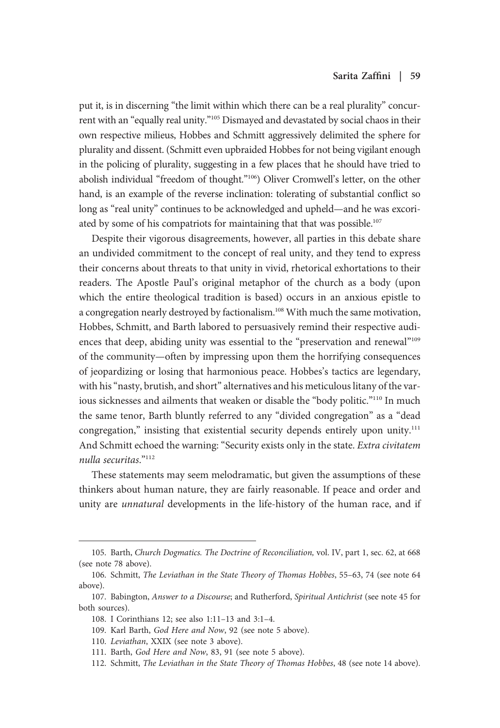put it, is in discerning "the limit within which there can be a real plurality" concurrent with an "equally real unity."<sup>105</sup> Dismayed and devastated by social chaos in their own respective milieus, Hobbes and Schmitt aggressively delimited the sphere for plurality and dissent. (Schmitt even upbraided Hobbes for not being vigilant enough in the policing of plurality, suggesting in a few places that he should have tried to abolish individual "freedom of thought."106) Oliver Cromwell's letter, on the other hand, is an example of the reverse inclination: tolerating of substantial conflict so long as "real unity" continues to be acknowledged and upheld—and he was excoriated by some of his compatriots for maintaining that that was possible.<sup>107</sup>

Despite their vigorous disagreements, however, all parties in this debate share an undivided commitment to the concept of real unity, and they tend to express their concerns about threats to that unity in vivid, rhetorical exhortations to their readers. The Apostle Paul's original metaphor of the church as a body (upon which the entire theological tradition is based) occurs in an anxious epistle to a congregation nearly destroyed by factionalism.<sup>108</sup> With much the same motivation, Hobbes, Schmitt, and Barth labored to persuasively remind their respective audiences that deep, abiding unity was essential to the "preservation and renewal"<sup>109</sup> of the community—often by impressing upon them the horrifying consequences of jeopardizing or losing that harmonious peace. Hobbes's tactics are legendary, with his"nasty, brutish, and short" alternatives and his meticulous litany of the various sicknesses and ailments that weaken or disable the "body politic."<sup>110</sup> In much the same tenor, Barth bluntly referred to any "divided congregation" as a "dead congregation," insisting that existential security depends entirely upon unity.<sup>111</sup> And Schmitt echoed the warning: "Security exists only in the state. Extra civitatem nulla securitas."<sup>112</sup>

These statements may seem melodramatic, but given the assumptions of these thinkers about human nature, they are fairly reasonable. If peace and order and unity are *unnatural* developments in the life-history of the human race, and if

- 109. Karl Barth, God Here and Now, 92 (see note 5 above).
- 110. Leviathan, XXIX (see note 3 above).

<sup>105.</sup> Barth, Church Dogmatics. The Doctrine of Reconciliation, vol. IV, part 1, sec. 62, at 668 (see note 78 above).

<sup>106.</sup> Schmitt, The Leviathan in the State Theory of Thomas Hobbes, 55–63, 74 (see note 64 above).

<sup>107.</sup> Babington, Answer to a Discourse; and Rutherford, Spiritual Antichrist (see note 45 for both sources).

<sup>108.</sup> I Corinthians 12; see also 1:11–13 and 3:1–4.

<sup>111.</sup> Barth, God Here and Now, 83, 91 (see note 5 above).

<sup>112.</sup> Schmitt, The Leviathan in the State Theory of Thomas Hobbes, 48 (see note 14 above).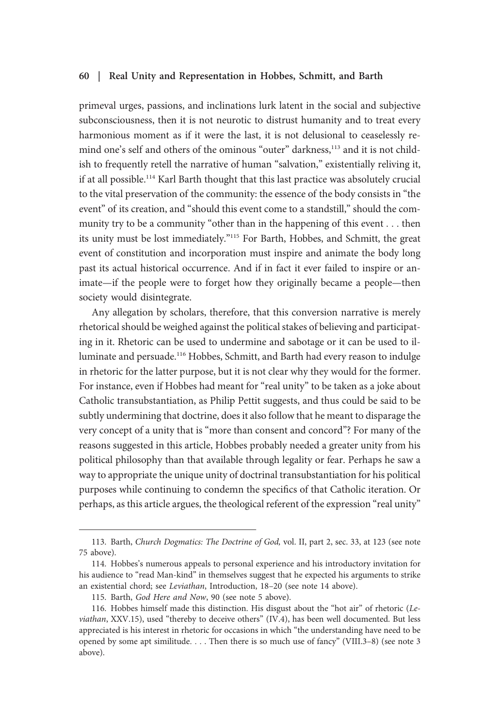primeval urges, passions, and inclinations lurk latent in the social and subjective subconsciousness, then it is not neurotic to distrust humanity and to treat every harmonious moment as if it were the last, it is not delusional to ceaselessly remind one's self and others of the ominous "outer" darkness,<sup>113</sup> and it is not childish to frequently retell the narrative of human "salvation," existentially reliving it, if at all possible.<sup>114</sup> Karl Barth thought that this last practice was absolutely crucial to the vital preservation of the community: the essence of the body consists in "the event" of its creation, and "should this event come to a standstill," should the community try to be a community "other than in the happening of this event ... then its unity must be lost immediately."<sup>115</sup> For Barth, Hobbes, and Schmitt, the great event of constitution and incorporation must inspire and animate the body long past its actual historical occurrence. And if in fact it ever failed to inspire or animate—if the people were to forget how they originally became a people—then society would disintegrate.

Any allegation by scholars, therefore, that this conversion narrative is merely rhetorical should be weighed against the political stakes of believing and participating in it. Rhetoric can be used to undermine and sabotage or it can be used to illuminate and persuade.116 Hobbes, Schmitt, and Barth had every reason to indulge in rhetoric for the latter purpose, but it is not clear why they would for the former. For instance, even if Hobbes had meant for "real unity" to be taken as a joke about Catholic transubstantiation, as Philip Pettit suggests, and thus could be said to be subtly undermining that doctrine, does it also follow that he meant to disparage the very concept of a unity that is "more than consent and concord"? For many of the reasons suggested in this article, Hobbes probably needed a greater unity from his political philosophy than that available through legality or fear. Perhaps he saw a way to appropriate the unique unity of doctrinal transubstantiation for his political purposes while continuing to condemn the specifics of that Catholic iteration. Or perhaps, as this article argues, the theological referent of the expression "real unity"

<sup>113.</sup> Barth, Church Dogmatics: The Doctrine of God, vol. II, part 2, sec. 33, at 123 (see note 75 above).

<sup>114.</sup> Hobbes's numerous appeals to personal experience and his introductory invitation for his audience to "read Man-kind" in themselves suggest that he expected his arguments to strike an existential chord; see Leviathan, Introduction, 18–20 (see note 14 above).

<sup>115.</sup> Barth, God Here and Now, 90 (see note 5 above).

<sup>116.</sup> Hobbes himself made this distinction. His disgust about the "hot air" of rhetoric (Leviathan, XXV.15), used "thereby to deceive others" (IV.4), has been well documented. But less appreciated is his interest in rhetoric for occasions in which "the understanding have need to be opened by some apt similitude... . Then there is so much use of fancy" (VIII.3–8) (see note 3 above).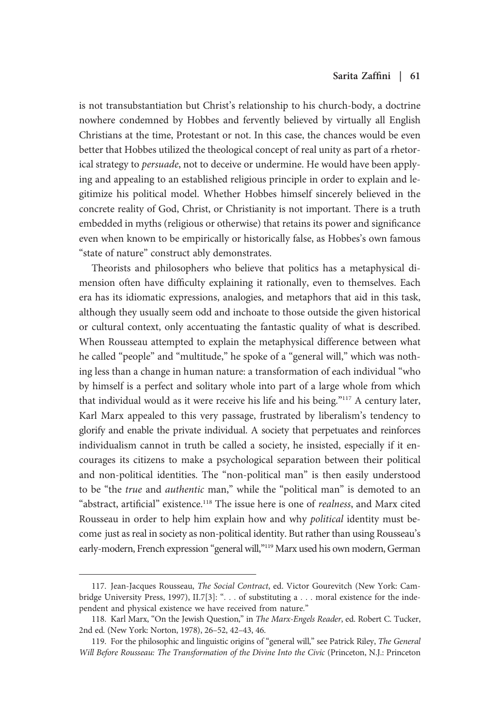is not transubstantiation but Christ's relationship to his church-body, a doctrine nowhere condemned by Hobbes and fervently believed by virtually all English Christians at the time, Protestant or not. In this case, the chances would be even better that Hobbes utilized the theological concept of real unity as part of a rhetorical strategy to *persuade*, not to deceive or undermine. He would have been applying and appealing to an established religious principle in order to explain and legitimize his political model. Whether Hobbes himself sincerely believed in the concrete reality of God, Christ, or Christianity is not important. There is a truth embedded in myths (religious or otherwise) that retains its power and significance even when known to be empirically or historically false, as Hobbes's own famous "state of nature" construct ably demonstrates.

Theorists and philosophers who believe that politics has a metaphysical dimension often have difficulty explaining it rationally, even to themselves. Each era has its idiomatic expressions, analogies, and metaphors that aid in this task, although they usually seem odd and inchoate to those outside the given historical or cultural context, only accentuating the fantastic quality of what is described. When Rousseau attempted to explain the metaphysical difference between what he called "people" and "multitude," he spoke of a "general will," which was nothing less than a change in human nature: a transformation of each individual "who by himself is a perfect and solitary whole into part of a large whole from which that individual would as it were receive his life and his being."<sup>117</sup> A century later, Karl Marx appealed to this very passage, frustrated by liberalism's tendency to glorify and enable the private individual. A society that perpetuates and reinforces individualism cannot in truth be called a society, he insisted, especially if it encourages its citizens to make a psychological separation between their political and non-political identities. The "non-political man" is then easily understood to be "the true and authentic man," while the "political man" is demoted to an "abstract, artificial" existence.<sup>118</sup> The issue here is one of *realness*, and Marx cited Rousseau in order to help him explain how and why political identity must become just as real in society as non-political identity. But rather than using Rousseau's early-modern, French expression "general will,"<sup>119</sup> Marx used his own modern, German

<sup>117.</sup> Jean-Jacques Rousseau, The Social Contract, ed. Victor Gourevitch (New York: Cambridge University Press, 1997), II.7[3]: ". . . of substituting a . . . moral existence for the independent and physical existence we have received from nature."

<sup>118.</sup> Karl Marx, "On the Jewish Question," in The Marx-Engels Reader, ed. Robert C. Tucker, 2nd ed. (New York: Norton, 1978), 26–52, 42–43, 46.

<sup>119.</sup> For the philosophic and linguistic origins of "general will," see Patrick Riley, The General Will Before Rousseau: The Transformation of the Divine Into the Civic (Princeton, N.J.: Princeton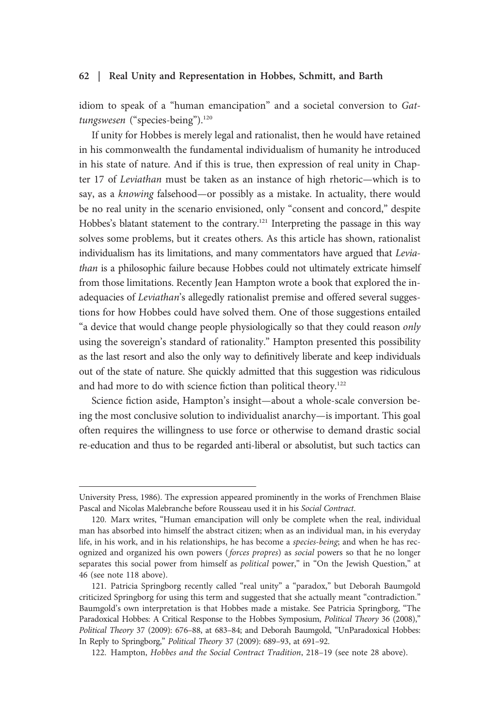idiom to speak of a "human emancipation" and a societal conversion to Gattungswesen ("species-being").<sup>120</sup>

If unity for Hobbes is merely legal and rationalist, then he would have retained in his commonwealth the fundamental individualism of humanity he introduced in his state of nature. And if this is true, then expression of real unity in Chapter 17 of Leviathan must be taken as an instance of high rhetoric—which is to say, as a knowing falsehood—or possibly as a mistake. In actuality, there would be no real unity in the scenario envisioned, only "consent and concord," despite Hobbes's blatant statement to the contrary.<sup>121</sup> Interpreting the passage in this way solves some problems, but it creates others. As this article has shown, rationalist individualism has its limitations, and many commentators have argued that Leviathan is a philosophic failure because Hobbes could not ultimately extricate himself from those limitations. Recently Jean Hampton wrote a book that explored the inadequacies of Leviathan's allegedly rationalist premise and offered several suggestions for how Hobbes could have solved them. One of those suggestions entailed "a device that would change people physiologically so that they could reason only using the sovereign's standard of rationality." Hampton presented this possibility as the last resort and also the only way to definitively liberate and keep individuals out of the state of nature. She quickly admitted that this suggestion was ridiculous and had more to do with science fiction than political theory.<sup>122</sup>

Science fiction aside, Hampton's insight—about a whole-scale conversion being the most conclusive solution to individualist anarchy—is important. This goal often requires the willingness to use force or otherwise to demand drastic social re-education and thus to be regarded anti-liberal or absolutist, but such tactics can

University Press, 1986). The expression appeared prominently in the works of Frenchmen Blaise Pascal and Nicolas Malebranche before Rousseau used it in his Social Contract.

<sup>120.</sup> Marx writes, "Human emancipation will only be complete when the real, individual man has absorbed into himself the abstract citizen; when as an individual man, in his everyday life, in his work, and in his relationships, he has become a species-being; and when he has recognized and organized his own powers (forces propres) as social powers so that he no longer separates this social power from himself as *political* power," in "On the Jewish Question," at 46 (see note 118 above).

<sup>121.</sup> Patricia Springborg recently called "real unity" a "paradox," but Deborah Baumgold criticized Springborg for using this term and suggested that she actually meant "contradiction." Baumgold's own interpretation is that Hobbes made a mistake. See Patricia Springborg, "The Paradoxical Hobbes: A Critical Response to the Hobbes Symposium, Political Theory 36 (2008)," Political Theory 37 (2009): 676–88, at 683–84; and Deborah Baumgold, "UnParadoxical Hobbes: In Reply to Springborg," Political Theory 37 (2009): 689–93, at 691–92.

<sup>122.</sup> Hampton, Hobbes and the Social Contract Tradition, 218–19 (see note 28 above).